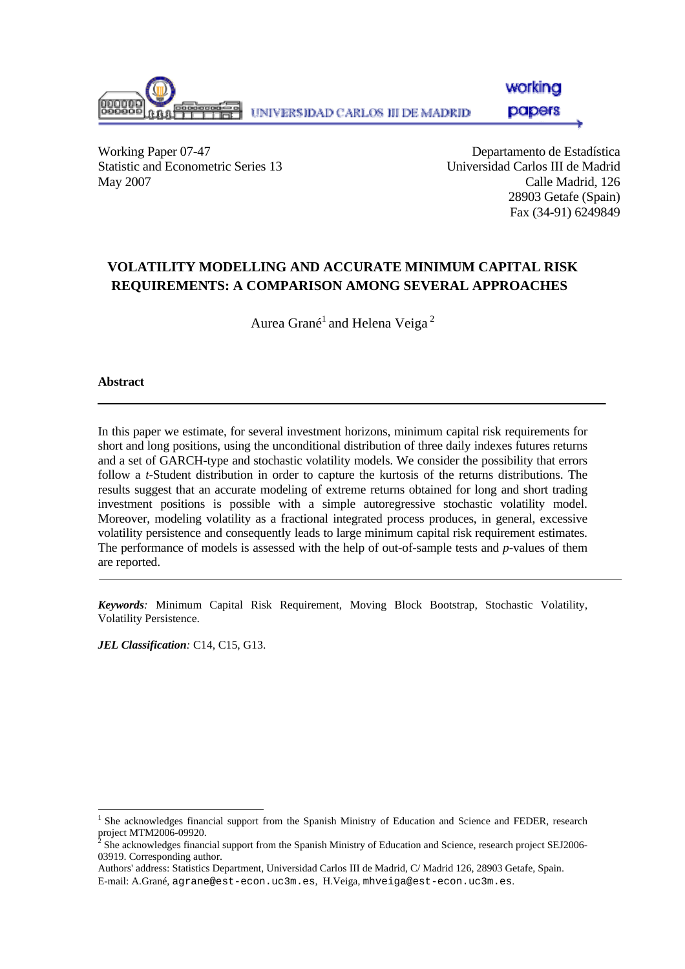

workina

**papers** 

Working Paper 07-47 Departamento de Estadística Statistic and Econometric Series 13 Universidad Carlos III de Madrid May 2007 Calle Madrid, 126

28903 Getafe (Spain) Fax (34-91) 6249849

# **VOLATILITY MODELLING AND ACCURATE MINIMUM CAPITAL RISK REQUIREMENTS: A COMPARISON AMONG SEVERAL APPROACHES**[∗](#page-0-0)

Aurea Grané<sup>1</sup> and Helena Veiga<sup>2</sup>

### **Abstract**

l

In this paper we estimate, for several investment horizons, minimum capital risk requirements for short and long positions, using the unconditional distribution of three daily indexes futures returns and a set of GARCH-type and stochastic volatility models. We consider the possibility that errors follow a *t-*Student distribution in order to capture the kurtosis of the returns distributions. The results suggest that an accurate modeling of extreme returns obtained for long and short trading investment positions is possible with a simple autoregressive stochastic volatility model. Moreover, modeling volatility as a fractional integrated process produces, in general, excessive volatility persistence and consequently leads to large minimum capital risk requirement estimates. The performance of models is assessed with the help of out-of-sample tests and *p*-values of them are reported.

*Keywords:* Minimum Capital Risk Requirement, Moving Block Bootstrap, Stochastic Volatility, Volatility Persistence.

*JEL Classification:* C14, C15, G13.

<span id="page-0-0"></span><sup>&</sup>lt;sup>1</sup> She acknowledges financial support from the Spanish Ministry of Education and Science and FEDER, research

project MTM2006-09920.<br><sup>2</sup> She acknowledges financial support from the Spanish Ministry of Education and Science, research project SEJ2006-03919. Corresponding author.

Authors' address: Statistics Department, Universidad Carlos III de Madrid, C/ Madrid 126, 28903 Getafe, Spain. E-mail: A.Grané, agrane@est-econ.uc3m.es, H.Veiga, mhveiga@est-econ.uc3m.es.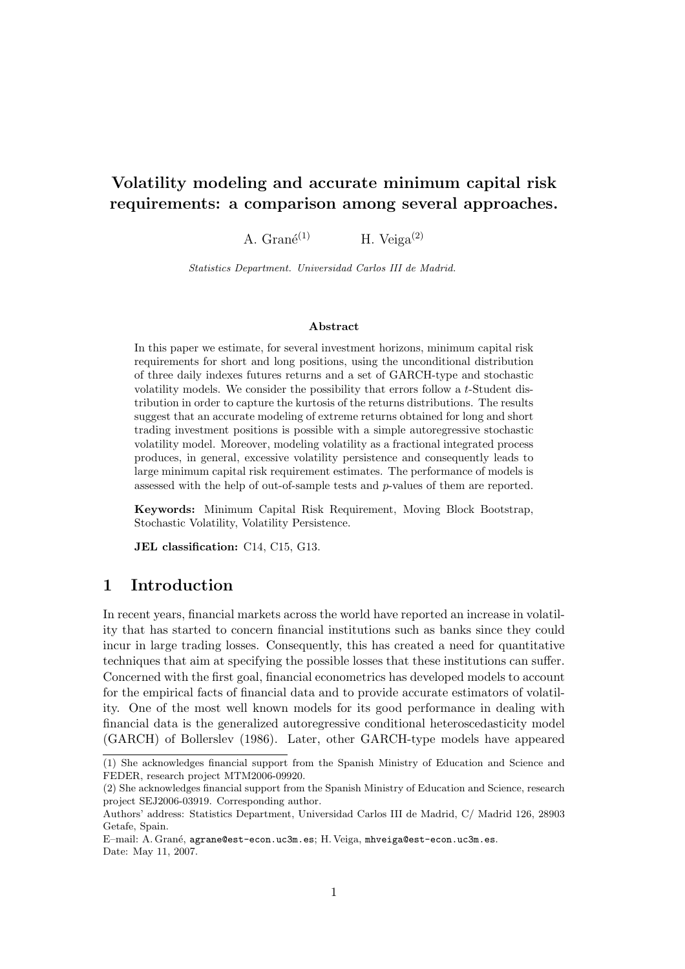# Volatility modeling and accurate minimum capital risk requirements: a comparison among several approaches.

A. Gran $\acute{e}^{(1)}$  H. Veiga<sup>(2)</sup>

Statistics Department. Universidad Carlos III de Madrid.

#### Abstract

In this paper we estimate, for several investment horizons, minimum capital risk requirements for short and long positions, using the unconditional distribution of three daily indexes futures returns and a set of GARCH-type and stochastic volatility models. We consider the possibility that errors follow a t-Student distribution in order to capture the kurtosis of the returns distributions. The results suggest that an accurate modeling of extreme returns obtained for long and short trading investment positions is possible with a simple autoregressive stochastic volatility model. Moreover, modeling volatility as a fractional integrated process produces, in general, excessive volatility persistence and consequently leads to large minimum capital risk requirement estimates. The performance of models is assessed with the help of out-of-sample tests and p-values of them are reported.

Keywords: Minimum Capital Risk Requirement, Moving Block Bootstrap, Stochastic Volatility, Volatility Persistence.

JEL classification: C14, C15, G13.

# 1 Introduction

In recent years, financial markets across the world have reported an increase in volatility that has started to concern financial institutions such as banks since they could incur in large trading losses. Consequently, this has created a need for quantitative techniques that aim at specifying the possible losses that these institutions can suffer. Concerned with the first goal, financial econometrics has developed models to account for the empirical facts of financial data and to provide accurate estimators of volatility. One of the most well known models for its good performance in dealing with financial data is the generalized autoregressive conditional heteroscedasticity model (GARCH) of Bollerslev (1986). Later, other GARCH-type models have appeared

<sup>(1)</sup> She acknowledges financial support from the Spanish Ministry of Education and Science and FEDER, research project MTM2006-09920.

<sup>(2)</sup> She acknowledges financial support from the Spanish Ministry of Education and Science, research project SEJ2006-03919. Corresponding author.

Authors' address: Statistics Department, Universidad Carlos III de Madrid, C/ Madrid 126, 28903 Getafe, Spain.

E-mail: A. Grané, agrane@est-econ.uc3m.es; H. Veiga, mhveiga@est-econ.uc3m.es. Date: May 11, 2007.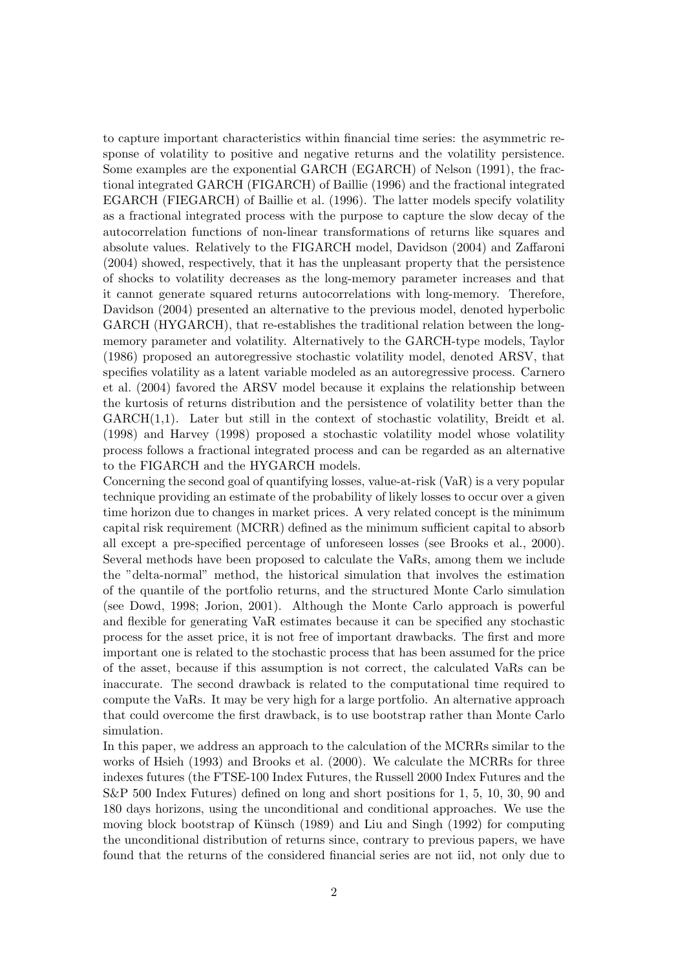to capture important characteristics within financial time series: the asymmetric response of volatility to positive and negative returns and the volatility persistence. Some examples are the exponential GARCH (EGARCH) of Nelson (1991), the fractional integrated GARCH (FIGARCH) of Baillie (1996) and the fractional integrated EGARCH (FIEGARCH) of Baillie et al. (1996). The latter models specify volatility as a fractional integrated process with the purpose to capture the slow decay of the autocorrelation functions of non-linear transformations of returns like squares and absolute values. Relatively to the FIGARCH model, Davidson (2004) and Zaffaroni (2004) showed, respectively, that it has the unpleasant property that the persistence of shocks to volatility decreases as the long-memory parameter increases and that it cannot generate squared returns autocorrelations with long-memory. Therefore, Davidson (2004) presented an alternative to the previous model, denoted hyperbolic GARCH (HYGARCH), that re-establishes the traditional relation between the longmemory parameter and volatility. Alternatively to the GARCH-type models, Taylor (1986) proposed an autoregressive stochastic volatility model, denoted ARSV, that specifies volatility as a latent variable modeled as an autoregressive process. Carnero et al. (2004) favored the ARSV model because it explains the relationship between the kurtosis of returns distribution and the persistence of volatility better than the  $GARCH(1,1)$ . Later but still in the context of stochastic volatility, Breidt et al. (1998) and Harvey (1998) proposed a stochastic volatility model whose volatility process follows a fractional integrated process and can be regarded as an alternative to the FIGARCH and the HYGARCH models.

Concerning the second goal of quantifying losses, value-at-risk (VaR) is a very popular technique providing an estimate of the probability of likely losses to occur over a given time horizon due to changes in market prices. A very related concept is the minimum capital risk requirement (MCRR) defined as the minimum sufficient capital to absorb all except a pre-specified percentage of unforeseen losses (see Brooks et al., 2000). Several methods have been proposed to calculate the VaRs, among them we include the "delta-normal" method, the historical simulation that involves the estimation of the quantile of the portfolio returns, and the structured Monte Carlo simulation (see Dowd, 1998; Jorion, 2001). Although the Monte Carlo approach is powerful and flexible for generating VaR estimates because it can be specified any stochastic process for the asset price, it is not free of important drawbacks. The first and more important one is related to the stochastic process that has been assumed for the price of the asset, because if this assumption is not correct, the calculated VaRs can be inaccurate. The second drawback is related to the computational time required to compute the VaRs. It may be very high for a large portfolio. An alternative approach that could overcome the first drawback, is to use bootstrap rather than Monte Carlo simulation.

In this paper, we address an approach to the calculation of the MCRRs similar to the works of Hsieh (1993) and Brooks et al. (2000). We calculate the MCRRs for three indexes futures (the FTSE-100 Index Futures, the Russell 2000 Index Futures and the S&P 500 Index Futures) defined on long and short positions for 1, 5, 10, 30, 90 and 180 days horizons, using the unconditional and conditional approaches. We use the moving block bootstrap of Künsch (1989) and Liu and Singh (1992) for computing the unconditional distribution of returns since, contrary to previous papers, we have found that the returns of the considered financial series are not iid, not only due to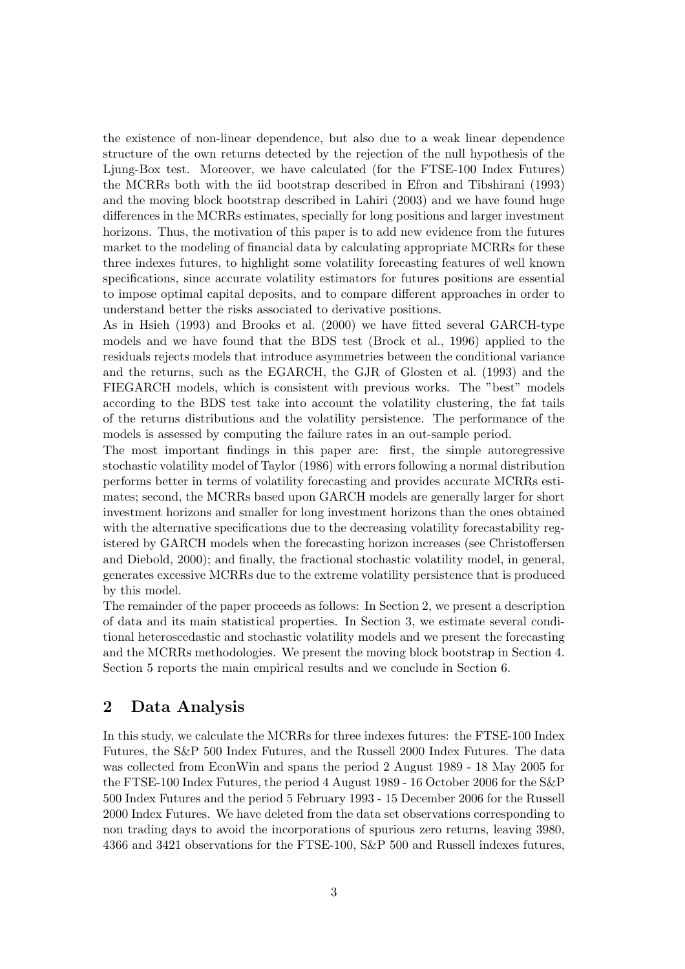the existence of non-linear dependence, but also due to a weak linear dependence structure of the own returns detected by the rejection of the null hypothesis of the Ljung-Box test. Moreover, we have calculated (for the FTSE-100 Index Futures) the MCRRs both with the iid bootstrap described in Efron and Tibshirani (1993) and the moving block bootstrap described in Lahiri (2003) and we have found huge differences in the MCRRs estimates, specially for long positions and larger investment horizons. Thus, the motivation of this paper is to add new evidence from the futures market to the modeling of financial data by calculating appropriate MCRRs for these three indexes futures, to highlight some volatility forecasting features of well known specifications, since accurate volatility estimators for futures positions are essential to impose optimal capital deposits, and to compare different approaches in order to understand better the risks associated to derivative positions.

As in Hsieh (1993) and Brooks et al. (2000) we have fitted several GARCH-type models and we have found that the BDS test (Brock et al., 1996) applied to the residuals rejects models that introduce asymmetries between the conditional variance and the returns, such as the EGARCH, the GJR of Glosten et al. (1993) and the FIEGARCH models, which is consistent with previous works. The "best" models according to the BDS test take into account the volatility clustering, the fat tails of the returns distributions and the volatility persistence. The performance of the models is assessed by computing the failure rates in an out-sample period.

The most important findings in this paper are: first, the simple autoregressive stochastic volatility model of Taylor (1986) with errors following a normal distribution performs better in terms of volatility forecasting and provides accurate MCRRs estimates; second, the MCRRs based upon GARCH models are generally larger for short investment horizons and smaller for long investment horizons than the ones obtained with the alternative specifications due to the decreasing volatility forecastability registered by GARCH models when the forecasting horizon increases (see Christoffersen and Diebold, 2000); and finally, the fractional stochastic volatility model, in general, generates excessive MCRRs due to the extreme volatility persistence that is produced by this model.

The remainder of the paper proceeds as follows: In Section 2, we present a description of data and its main statistical properties. In Section 3, we estimate several conditional heteroscedastic and stochastic volatility models and we present the forecasting and the MCRRs methodologies. We present the moving block bootstrap in Section 4. Section 5 reports the main empirical results and we conclude in Section 6.

# 2 Data Analysis

In this study, we calculate the MCRRs for three indexes futures: the FTSE-100 Index Futures, the S&P 500 Index Futures, and the Russell 2000 Index Futures. The data was collected from EconWin and spans the period 2 August 1989 - 18 May 2005 for the FTSE-100 Index Futures, the period 4 August 1989 - 16 October 2006 for the S&P 500 Index Futures and the period 5 February 1993 - 15 December 2006 for the Russell 2000 Index Futures. We have deleted from the data set observations corresponding to non trading days to avoid the incorporations of spurious zero returns, leaving 3980, 4366 and 3421 observations for the FTSE-100, S&P 500 and Russell indexes futures,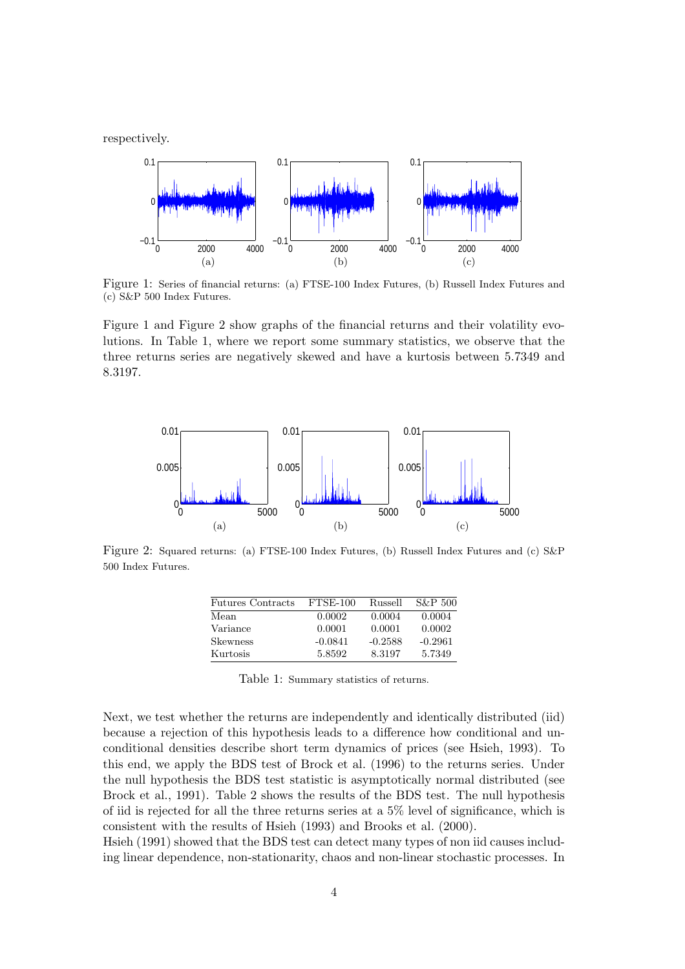respectively.



Figure 1: Series of financial returns: (a) FTSE-100 Index Futures, (b) Russell Index Futures and (c) S&P 500 Index Futures.

Figure 1 and Figure 2 show graphs of the financial returns and their volatility evolutions. In Table 1, where we report some summary statistics, we observe that the three returns series are negatively skewed and have a kurtosis between 5.7349 and 8.3197.



Figure 2: Squared returns: (a) FTSE-100 Index Futures, (b) Russell Index Futures and (c) S&P 500 Index Futures.

| <b>Futures Contracts</b> | FTSE-100  | Russell   | $S\&P$ 500 |
|--------------------------|-----------|-----------|------------|
| Mean                     | 0.0002    | 0.0004    | 0.0004     |
| Variance                 | 0.0001    | 0.0001    | 0.0002     |
| <b>Skewness</b>          | $-0.0841$ | $-0.2588$ | $-0.2961$  |
| Kurtosis                 | 5.8592    | 8.3197    | 5.7349     |

Table 1: Summary statistics of returns.

Next, we test whether the returns are independently and identically distributed (iid) because a rejection of this hypothesis leads to a difference how conditional and unconditional densities describe short term dynamics of prices (see Hsieh, 1993). To this end, we apply the BDS test of Brock et al. (1996) to the returns series. Under the null hypothesis the BDS test statistic is asymptotically normal distributed (see Brock et al., 1991). Table 2 shows the results of the BDS test. The null hypothesis of iid is rejected for all the three returns series at a 5% level of significance, which is consistent with the results of Hsieh (1993) and Brooks et al. (2000).

Hsieh (1991) showed that the BDS test can detect many types of non iid causes including linear dependence, non-stationarity, chaos and non-linear stochastic processes. In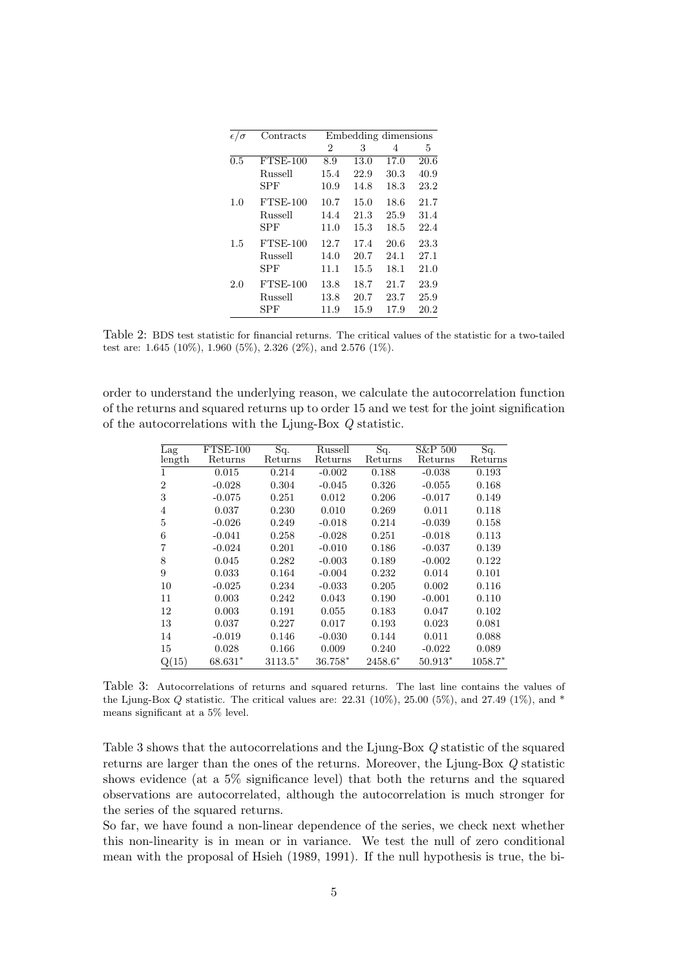| $\epsilon/\sigma$ | Contracts      |                | Embedding dimensions |      |      |
|-------------------|----------------|----------------|----------------------|------|------|
|                   |                | $\overline{2}$ | 3                    | 4    | 5    |
| 0.5               | $FTSE-100$     | 8.9            | 13.0                 | 17.0 | 20.6 |
|                   | Russell        | 15.4           | 22.9                 | 30.3 | 40.9 |
|                   | SPF            | 10.9           | 14.8                 | 18.3 | 23.2 |
| 1.0               | $FTSE-100$     | 10.7           | 15.0                 | 18.6 | 21.7 |
|                   | Russell        | 14.4           | 21.3                 | 25.9 | 31.4 |
|                   | SPF            | 11.0           | 15.3                 | 18.5 | 22.4 |
| 1.5               | $FTSE-100$     | 12.7           | 17.4                 | 20.6 | 23.3 |
|                   | <b>Russell</b> | 14.0           | 20.7                 | 24.1 | 27.1 |
|                   | <b>SPF</b>     | 11.1           | 15.5                 | 18.1 | 21.0 |
| 2.0               | $FTSE-100$     | 13.8           | 18.7                 | 21.7 | 23.9 |
|                   | Russell        | 13.8           | 20.7                 | 23.7 | 25.9 |
|                   | SPF            | 11.9           | 15.9                 | 17.9 | 20.2 |

Table 2: BDS test statistic for financial returns. The critical values of the statistic for a two-tailed test are: 1.645 (10%), 1.960 (5%), 2.326 (2%), and 2.576 (1%).

order to understand the underlying reason, we calculate the autocorrelation function of the returns and squared returns up to order 15 and we test for the joint signification of the autocorrelations with the Ljung-Box Q statistic.

| Lag            | $FTSE-100$ | Sq.       | Russell   | Sq.     | S&P 500   | Sq.       |
|----------------|------------|-----------|-----------|---------|-----------|-----------|
| length         | Returns    | Returns   | Returns   | Returns | Returns   | Returns   |
| 1              | 0.015      | 0.214     | $-0.002$  | 0.188   | $-0.038$  | 0.193     |
| $\overline{2}$ | $-0.028$   | 0.304     | $-0.045$  | 0.326   | $-0.055$  | 0.168     |
| 3              | $-0.075$   | 0.251     | 0.012     | 0.206   | $-0.017$  | 0.149     |
| 4              | 0.037      | 0.230     | 0.010     | 0.269   | 0.011     | 0.118     |
| 5              | $-0.026$   | 0.249     | $-0.018$  | 0.214   | $-0.039$  | 0.158     |
| 6              | $-0.041$   | 0.258     | $-0.028$  | 0.251   | $-0.018$  | 0.113     |
| 7              | $-0.024$   | 0.201     | $-0.010$  | 0.186   | $-0.037$  | 0.139     |
| 8              | 0.045      | 0.282     | $-0.003$  | 0.189   | $-0.002$  | 0.122     |
| 9              | 0.033      | 0.164     | $-0.004$  | 0.232   | 0.014     | 0.101     |
| 10             | $-0.025$   | 0.234     | $-0.033$  | 0.205   | 0.002     | 0.116     |
| 11             | 0.003      | 0.242     | 0.043     | 0.190   | $-0.001$  | 0.110     |
| 12             | 0.003      | 0.191     | 0.055     | 0.183   | 0.047     | 0.102     |
| 13             | 0.037      | 0.227     | 0.017     | 0.193   | 0.023     | 0.081     |
| 14             | $-0.019$   | 0.146     | $-0.030$  | 0.144   | 0.011     | 0.088     |
| 15             | 0.028      | 0.166     | 0.009     | 0.240   | $-0.022$  | 0.089     |
| Q(15)          | 68.631*    | $3113.5*$ | $36.758*$ | 2458.6* | $50.913*$ | $1058.7*$ |

Table 3: Autocorrelations of returns and squared returns. The last line contains the values of the Ljung-Box Q statistic. The critical values are:  $22.31 \ (10\%)$ ,  $25.00 \ (5\%)$ , and  $27.49 \ (1\%)$ , and \* means significant at a 5% level.

Table 3 shows that the autocorrelations and the Ljung-Box Q statistic of the squared returns are larger than the ones of the returns. Moreover, the Ljung-Box Q statistic shows evidence (at a 5% significance level) that both the returns and the squared observations are autocorrelated, although the autocorrelation is much stronger for the series of the squared returns.

So far, we have found a non-linear dependence of the series, we check next whether this non-linearity is in mean or in variance. We test the null of zero conditional mean with the proposal of Hsieh (1989, 1991). If the null hypothesis is true, the bi-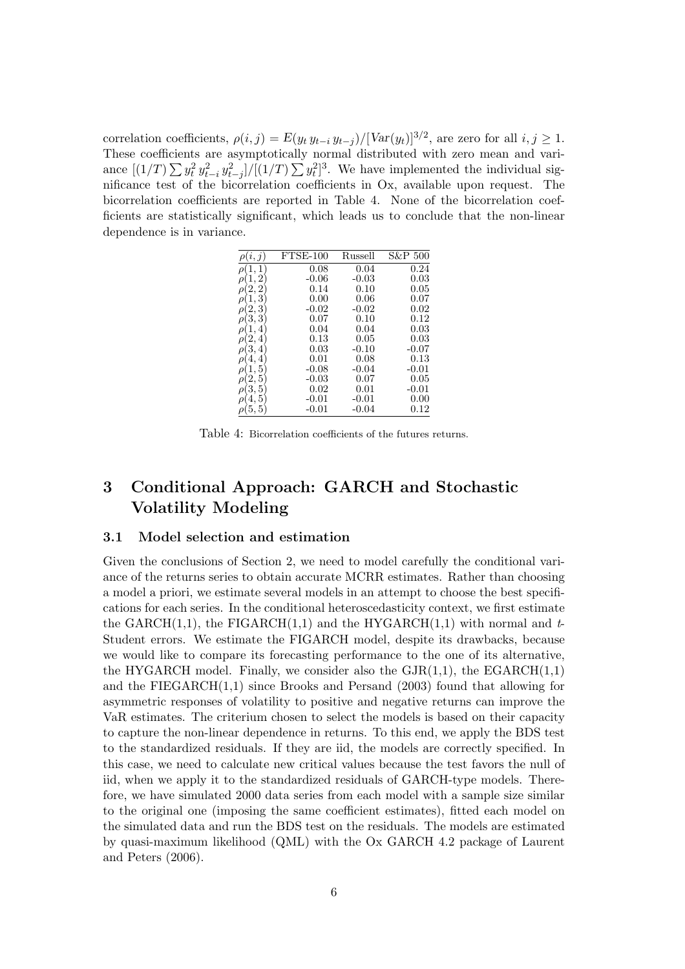correlation coefficients,  $\rho(i, j) = E(y_t y_{t-i} y_{t-j}) / [Var(y_t)]^{3/2}$ , are zero for all  $i, j \ge 1$ . These coefficients are asymptotically normal distributed with zero mean and variance  $[(1/T)\sum y_t^2 y_{t-i}^2 y_{t-j}^2]/[(1/T)\sum y_t^2]^3$ . We have implemented the individual significance test of the bicorrelation coefficients in Ox, available upon request. The bicorrelation coefficients are reported in Table 4. None of the bicorrelation coefficients are statistically significant, which leads us to conclude that the non-linear dependence is in variance.

|              | $FTSE-100$ | Russell | S&P 500  |
|--------------|------------|---------|----------|
|              | 0.08       | 0.04    | 0.24     |
| 2            | $-0.06$    | $-0.03$ | 0.03     |
| 2,           | 0.14       | 0.10    | 0.05     |
| 1, 3<br>ρ    | 0.00       | 0.06    | 0.07     |
| 3            | $-0.02$    | $-0.02$ | 0.02     |
| 3, 3         | 0.07       | 0.10    | 0.12     |
| ρ            | 0.04       | 0.04    | 0.03     |
| 4<br>Ζ,<br>ρ | 0.13       | 0.05    | 0.03     |
| 3.<br>4<br>ρ | 0.03       | $-0.10$ | -0.07    |
|              | 0.01       | 0.08    | 0.13     |
| ρ            | $-0.08$    | $-0.04$ | $-0.01$  |
| 5<br>z,<br>ρ | $-0.03$    | 0.07    | 0.05     |
| 5<br>З,<br>ρ | $0.02\,$   | 0.01    | $-0.01$  |
| 5            | $-0.01$    | $-0.01$ | 0.00     |
| 5, 5<br>ρ    | $-0.01$    | $-0.04$ | $0.12\,$ |

Table 4: Bicorrelation coefficients of the futures returns.

# 3 Conditional Approach: GARCH and Stochastic Volatility Modeling

#### 3.1 Model selection and estimation

Given the conclusions of Section 2, we need to model carefully the conditional variance of the returns series to obtain accurate MCRR estimates. Rather than choosing a model a priori, we estimate several models in an attempt to choose the best specifications for each series. In the conditional heteroscedasticity context, we first estimate the GARCH(1,1), the FIGARCH(1,1) and the HYGARCH(1,1) with normal and  $t$ -Student errors. We estimate the FIGARCH model, despite its drawbacks, because we would like to compare its forecasting performance to the one of its alternative, the HYGARCH model. Finally, we consider also the  $\text{GJR}(1,1)$ , the  $\text{EGARCH}(1,1)$ and the FIEGARCH(1,1) since Brooks and Persand (2003) found that allowing for asymmetric responses of volatility to positive and negative returns can improve the VaR estimates. The criterium chosen to select the models is based on their capacity to capture the non-linear dependence in returns. To this end, we apply the BDS test to the standardized residuals. If they are iid, the models are correctly specified. In this case, we need to calculate new critical values because the test favors the null of iid, when we apply it to the standardized residuals of GARCH-type models. Therefore, we have simulated 2000 data series from each model with a sample size similar to the original one (imposing the same coefficient estimates), fitted each model on the simulated data and run the BDS test on the residuals. The models are estimated by quasi-maximum likelihood (QML) with the Ox GARCH 4.2 package of Laurent and Peters (2006).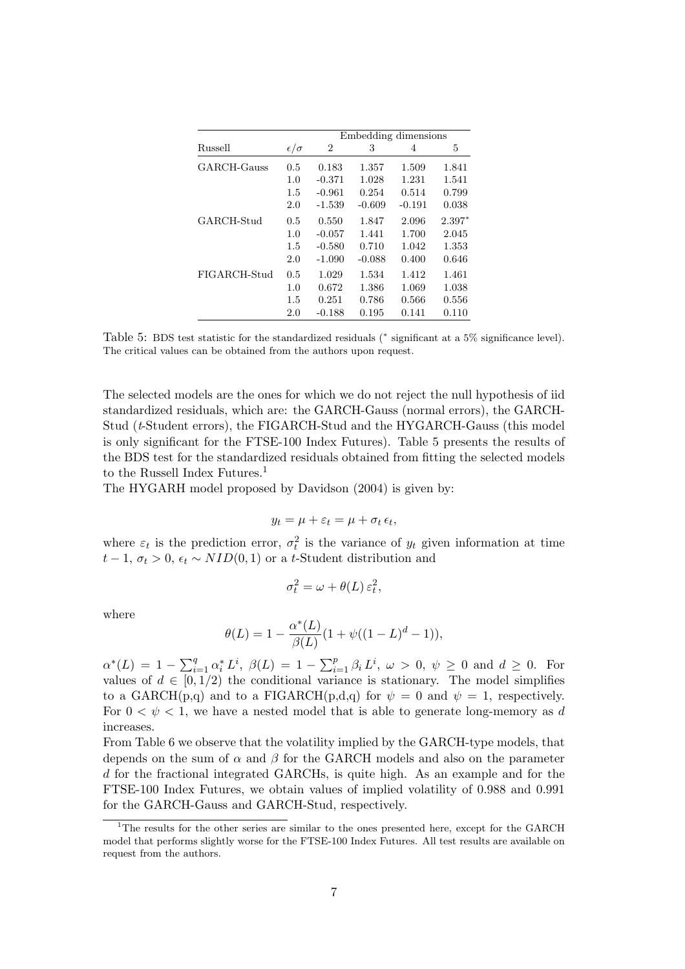|                |                   | Embedding dimensions |          |          |          |  |
|----------------|-------------------|----------------------|----------|----------|----------|--|
| <b>Russell</b> | $\epsilon/\sigma$ | $\overline{2}$       | 3        | 4        | 5        |  |
| GARCH-Gauss    | 0.5               | 0.183                | 1.357    | 1.509    | 1.841    |  |
|                | 1.0               | $-0.371$             | 1.028    | 1.231    | 1.541    |  |
|                | 1.5               | $-0.961$             | 0.254    | 0.514    | 0.799    |  |
|                | 2.0               | $-1.539$             | $-0.609$ | $-0.191$ | 0.038    |  |
| GARCH-Stud     | 0.5               | 0.550                | 1.847    | 2.096    | $2.397*$ |  |
|                | 1.0               | $-0.057$             | 1.441    | 1.700    | 2.045    |  |
|                | 1.5               | $-0.580$             | 0.710    | 1.042    | 1.353    |  |
|                | 2.0               | $-1.090$             | $-0.088$ | 0.400    | 0.646    |  |
| FIGARCH-Stud   | 0.5               | 1.029                | 1.534    | 1.412    | 1.461    |  |
|                | 1.0               | 0.672                | 1.386    | 1.069    | 1.038    |  |
|                | 1.5               | 0.251                | 0.786    | 0.566    | 0.556    |  |
|                | 2.0               | $-0.188$             | 0.195    | 0.141    | 0.110    |  |

Table 5: BDS test statistic for the standardized residuals (\* significant at a 5% significance level). The critical values can be obtained from the authors upon request.

The selected models are the ones for which we do not reject the null hypothesis of iid standardized residuals, which are: the GARCH-Gauss (normal errors), the GARCH-Stud (t-Student errors), the FIGARCH-Stud and the HYGARCH-Gauss (this model is only significant for the FTSE-100 Index Futures). Table 5 presents the results of the BDS test for the standardized residuals obtained from fitting the selected models to the Russell Index Futures.<sup>1</sup>

The HYGARH model proposed by Davidson (2004) is given by:

$$
y_t = \mu + \varepsilon_t = \mu + \sigma_t \,\epsilon_t,
$$

where  $\varepsilon_t$  is the prediction error,  $\sigma_t^2$  is the variance of  $y_t$  given information at time  $t-1, \sigma_t > 0, \epsilon_t \sim NID(0, 1)$  or a t-Student distribution and

$$
\sigma_t^2 = \omega + \theta(L) \,\varepsilon_t^2,
$$

where

$$
\theta(L) = 1 - \frac{\alpha^*(L)}{\beta(L)}(1 + \psi((1 - L)^d - 1)),
$$

 $\alpha^*(L) = 1 - \sum_{i=1}^q \alpha_i^* L^i$ ,  $\beta(L) = 1 - \sum_{i=1}^p \beta_i L^i$ ,  $\omega > 0$ ,  $\psi \ge 0$  and  $d \ge 0$ . For values of  $d \in [0, 1/2)$  the conditional variance is stationary. The model simplifies to a GARCH(p,q) and to a FIGARCH(p,d,q) for  $\psi = 0$  and  $\psi = 1$ , respectively. For  $0 \leq \psi \leq 1$ , we have a nested model that is able to generate long-memory as d increases.

From Table 6 we observe that the volatility implied by the GARCH-type models, that depends on the sum of  $\alpha$  and  $\beta$  for the GARCH models and also on the parameter d for the fractional integrated GARCHs, is quite high. As an example and for the FTSE-100 Index Futures, we obtain values of implied volatility of 0.988 and 0.991 for the GARCH-Gauss and GARCH-Stud, respectively.

<sup>&</sup>lt;sup>1</sup>The results for the other series are similar to the ones presented here, except for the GARCH model that performs slightly worse for the FTSE-100 Index Futures. All test results are available on request from the authors.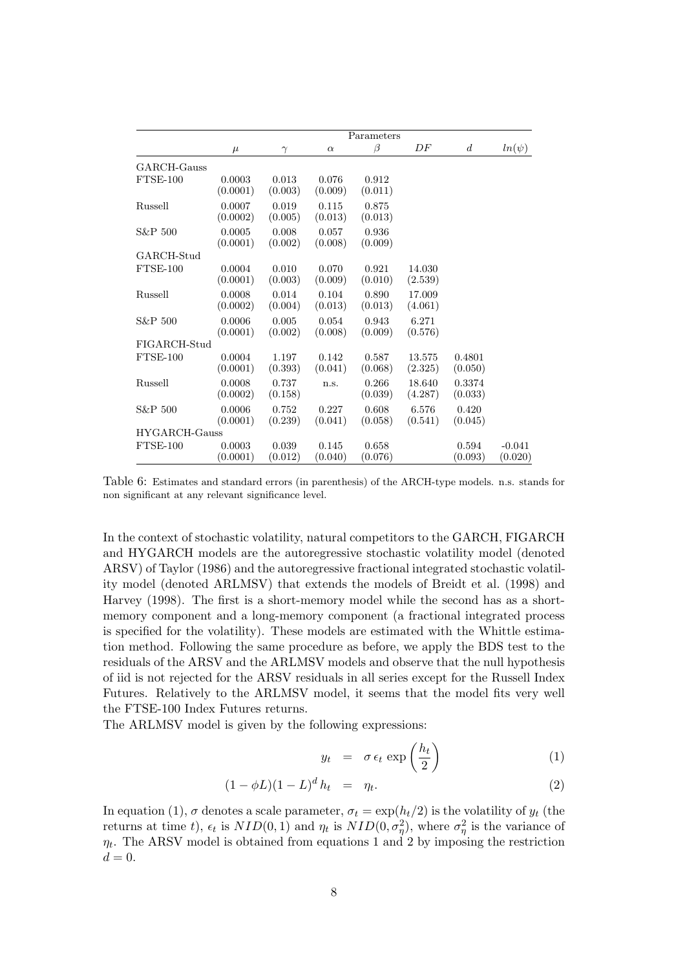|                          |                    |                  |                  | Parameters       |                   |                   |                     |
|--------------------------|--------------------|------------------|------------------|------------------|-------------------|-------------------|---------------------|
|                          | $\mu$              | $\gamma$         | $\alpha$         | ß                | DF                | $\boldsymbol{d}$  | $ln(\psi)$          |
| GARCH-Gauss              |                    |                  |                  |                  |                   |                   |                     |
| FTSE-100                 | 0.0003<br>(0.0001) | 0.013<br>(0.003) | 0.076<br>(0.009) | 0.912<br>(0.011) |                   |                   |                     |
| Russell                  | 0.0007<br>(0.0002) | 0.019<br>(0.005) | 0.115<br>(0.013) | 0.875<br>(0.013) |                   |                   |                     |
| S&P 500                  | 0.0005<br>(0.0001) | 0.008<br>(0.002) | 0.057<br>(0.008) | 0.936<br>(0.009) |                   |                   |                     |
| GARCH-Stud<br>$FTSE-100$ | 0.0004<br>(0.0001) | 0.010<br>(0.003) | 0.070<br>(0.009) | 0.921<br>(0.010) | 14.030<br>(2.539) |                   |                     |
| Russell                  | 0.0008<br>(0.0002) | 0.014<br>(0.004) | 0.104<br>(0.013) | 0.890<br>(0.013) | 17.009<br>(4.061) |                   |                     |
| S&P 500                  | 0.0006<br>(0.0001) | 0.005<br>(0.002) | 0.054<br>(0.008) | 0.943<br>(0.009) | 6.271<br>(0.576)  |                   |                     |
| FIGARCH-Stud             |                    |                  |                  |                  |                   |                   |                     |
| FTSE-100                 | 0.0004<br>(0.0001) | 1.197<br>(0.393) | 0.142<br>(0.041) | 0.587<br>(0.068) | 13.575<br>(2.325) | 0.4801<br>(0.050) |                     |
| Russell                  | 0.0008<br>(0.0002) | 0.737<br>(0.158) | n.s.             | 0.266<br>(0.039) | 18.640<br>(4.287) | 0.3374<br>(0.033) |                     |
| S&P 500                  | 0.0006<br>(0.0001) | 0.752<br>(0.239) | 0.227<br>(0.041) | 0.608<br>(0.058) | 6.576<br>(0.541)  | 0.420<br>(0.045)  |                     |
| HYGARCH-Gauss            |                    |                  |                  |                  |                   |                   |                     |
| $FTSE-100$               | 0.0003<br>(0.0001) | 0.039<br>(0.012) | 0.145<br>(0.040) | 0.658<br>(0.076) |                   | 0.594<br>(0.093)  | $-0.041$<br>(0.020) |

Table 6: Estimates and standard errors (in parenthesis) of the ARCH-type models. n.s. stands for non significant at any relevant significance level.

In the context of stochastic volatility, natural competitors to the GARCH, FIGARCH and HYGARCH models are the autoregressive stochastic volatility model (denoted ARSV) of Taylor (1986) and the autoregressive fractional integrated stochastic volatility model (denoted ARLMSV) that extends the models of Breidt et al. (1998) and Harvey (1998). The first is a short-memory model while the second has as a shortmemory component and a long-memory component (a fractional integrated process is specified for the volatility). These models are estimated with the Whittle estimation method. Following the same procedure as before, we apply the BDS test to the residuals of the ARSV and the ARLMSV models and observe that the null hypothesis of iid is not rejected for the ARSV residuals in all series except for the Russell Index Futures. Relatively to the ARLMSV model, it seems that the model fits very well the FTSE-100 Index Futures returns.

The ARLMSV model is given by the following expressions:

$$
y_t = \sigma \epsilon_t \exp\left(\frac{h_t}{2}\right) \tag{1}
$$

$$
(1 - \phi L)(1 - L)^d h_t = \eta_t.
$$
 (2)

In equation (1),  $\sigma$  denotes a scale parameter,  $\sigma_t = \exp(h_t/2)$  is the volatility of  $y_t$  (the returns at time t,  $\epsilon_t$  is  $NID(0, 1)$  and  $\eta_t$  is  $NID(0, \sigma_\eta^2)$ , where  $\sigma_\eta^2$  is the variance of  $\eta_t$ . The ARSV model is obtained from equations 1 and 2 by imposing the restriction  $d=0.$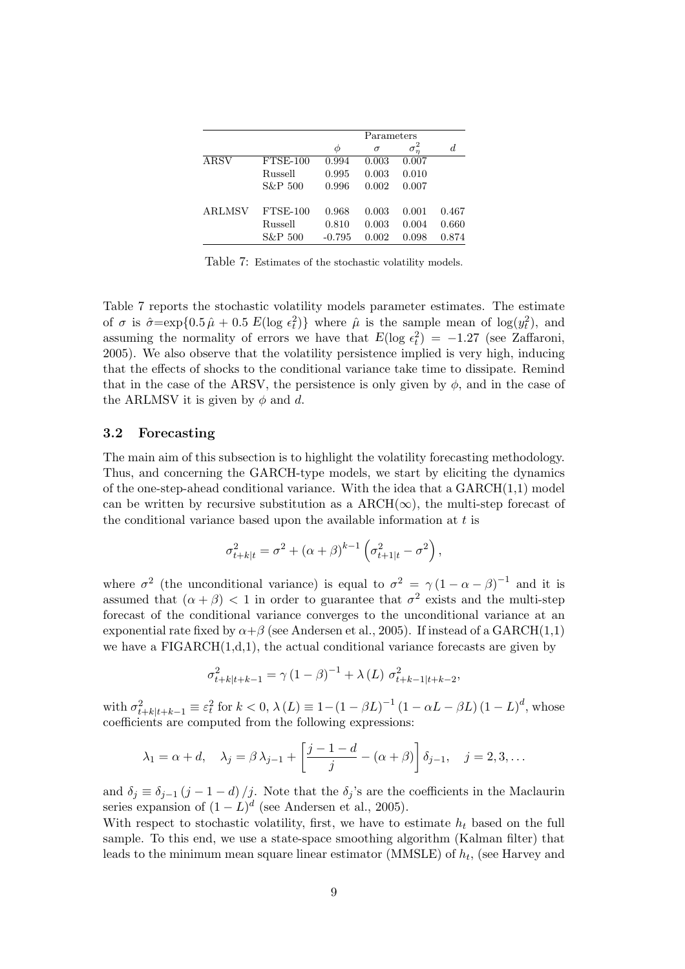|               |            | Parameters |          |            |       |  |
|---------------|------------|------------|----------|------------|-------|--|
|               |            | Φ          | $\sigma$ | $\sigma_n$ | d     |  |
| ARSV          | $FTSE-100$ | 0.994      | 0.003    | 0.007      |       |  |
|               | Russell    | 0.995      | 0.003    | 0.010      |       |  |
|               | S&P 500    | 0.996      | 0.002    | 0.007      |       |  |
| <b>ARLMSV</b> | $FTSE-100$ | 0.968      | 0.003    | 0.001      | 0.467 |  |
|               | Russell    | 0.810      | 0.003    | 0.004      | 0.660 |  |
|               | S&P 500    | $-0.795$   | 0.002    | 0.098      | 0.874 |  |

Table 7: Estimates of the stochastic volatility models.

Table 7 reports the stochastic volatility models parameter estimates. The estimate of  $\sigma$  is  $\hat{\sigma} = \exp\{0.5 \hat{\mu} + 0.5 E(\log \epsilon_t^2)\}\$  where  $\hat{\mu}$  is the sample mean of  $\log(y_t^2)$ , and assuming the normality of errors we have that  $E(\log \epsilon_t^2) = -1.27$  (see Zaffaroni, 2005). We also observe that the volatility persistence implied is very high, inducing that the effects of shocks to the conditional variance take time to dissipate. Remind that in the case of the ARSV, the persistence is only given by  $\phi$ , and in the case of the ARLMSV it is given by  $\phi$  and d.

### 3.2 Forecasting

The main aim of this subsection is to highlight the volatility forecasting methodology. Thus, and concerning the GARCH-type models, we start by eliciting the dynamics of the one-step-ahead conditional variance. With the idea that a  $GARCH(1,1)$  model can be written by recursive substitution as a  $\text{ARCH}(\infty)$ , the multi-step forecast of the conditional variance based upon the available information at  $t$  is

$$
\sigma_{t+k|t}^2 = \sigma^2 + (\alpha + \beta)^{k-1} \left( \sigma_{t+1|t}^2 - \sigma^2 \right),
$$

where  $\sigma^2$  (the unconditional variance) is equal to  $\sigma^2 = \gamma (1 - \alpha - \beta)^{-1}$  and it is assumed that  $(\alpha + \beta) < 1$  in order to guarantee that  $\sigma^2$  exists and the multi-step forecast of the conditional variance converges to the unconditional variance at an exponential rate fixed by  $\alpha + \beta$  (see Andersen et al., 2005). If instead of a GARCH(1,1) we have a  $FIGARCH(1,d,1)$ , the actual conditional variance forecasts are given by

$$
\sigma_{t+k|t+k-1}^{2} = \gamma (1 - \beta)^{-1} + \lambda (L) \sigma_{t+k-1|t+k-2}^{2},
$$

with  $\sigma_{t+k|t+k-1}^2 \equiv \varepsilon_t^2$  for  $k < 0$ ,  $\lambda(L) \equiv 1-(1-\beta L)^{-1}(1-\alpha L - \beta L)(1-L)^d$ , whose coefficients are computed from the following expressions:

$$
\lambda_1 = \alpha + d, \quad \lambda_j = \beta \lambda_{j-1} + \left[ \frac{j-1-d}{j} - (\alpha + \beta) \right] \delta_{j-1}, \quad j = 2, 3, \dots
$$

and  $\delta_j \equiv \delta_{j-1} (j-1-d)/j$ . Note that the  $\delta_j$ 's are the coefficients in the Maclaurin series expansion of  $(1 - L)^d$  (see Andersen et al., 2005).

With respect to stochastic volatility, first, we have to estimate  $h_t$  based on the full sample. To this end, we use a state-space smoothing algorithm (Kalman filter) that leads to the minimum mean square linear estimator (MMSLE) of  $h_t$ , (see Harvey and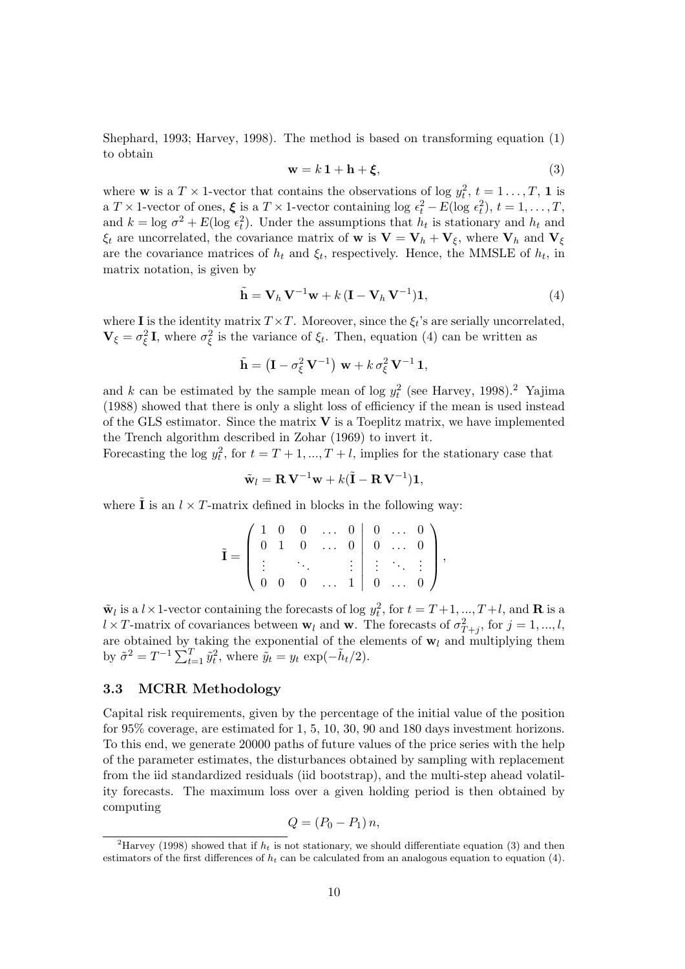Shephard, 1993; Harvey, 1998). The method is based on transforming equation (1) to obtain

$$
\mathbf{w} = k \, \mathbf{1} + \mathbf{h} + \boldsymbol{\xi},\tag{3}
$$

where **w** is a  $T \times 1$ -vector that contains the observations of log  $y_t^2$ ,  $t = 1 \ldots, T$ , **1** is a  $T \times 1$ -vector of ones,  $\xi$  is a  $T \times 1$ -vector containing log  $\epsilon_t^2 - E(\log \epsilon_t^2), t = 1, ..., T$ , and  $k = \log \sigma^2 + E(\log \epsilon_t^2)$ . Under the assumptions that  $h_t$  is stationary and  $h_t$  and  $\xi_t$  are uncorrelated, the covariance matrix of **w** is  $\mathbf{V} = \mathbf{V}_h + \mathbf{V}_\xi$ , where  $\mathbf{V}_h$  and  $\mathbf{V}_\xi$ are the covariance matrices of  $h_t$  and  $\xi_t$ , respectively. Hence, the MMSLE of  $h_t$ , in matrix notation, is given by

$$
\tilde{\mathbf{h}} = \mathbf{V}_h \mathbf{V}^{-1} \mathbf{w} + k \left( \mathbf{I} - \mathbf{V}_h \mathbf{V}^{-1} \right) \mathbf{1},\tag{4}
$$

where **I** is the identity matrix  $T \times T$ . Moreover, since the  $\xi_t$ 's are serially uncorrelated,  $\mathbf{V}_{\xi} = \sigma_{\xi}^2 \mathbf{I}$ , where  $\sigma_{\xi}^2$  is the variance of  $\xi_t$ . Then, equation (4) can be written as

$$
\tilde{\mathbf{h}} = \left(\mathbf{I} - \sigma_{\xi}^2 \mathbf{V}^{-1}\right) \mathbf{w} + k \sigma_{\xi}^2 \mathbf{V}^{-1} \mathbf{1},
$$

and k can be estimated by the sample mean of log  $y_t^2$  (see Harvey, 1998).<sup>2</sup> Yajima (1988) showed that there is only a slight loss of efficiency if the mean is used instead of the GLS estimator. Since the matrix  $V$  is a Toeplitz matrix, we have implemented the Trench algorithm described in Zohar (1969) to invert it.

Forecasting the log  $y_t^2$ , for  $t = T + 1, ..., T + l$ , implies for the stationary case that

$$
\tilde{\mathbf{w}}_l = \mathbf{R} \,\mathbf{V}^{-1} \mathbf{w} + k(\tilde{\mathbf{I}} - \mathbf{R} \,\mathbf{V}^{-1}) \mathbf{1},
$$

where  $\tilde{\mathbf{I}}$  is an  $l \times T$ -matrix defined in blocks in the following way:

$$
\tilde{\mathbf{I}} = \left( \begin{array}{cccccc} 1 & 0 & 0 & \dots & 0 & 0 & \dots & 0 \\ 0 & 1 & 0 & \dots & 0 & 0 & \dots & 0 \\ \vdots & & \ddots & & & \vdots & \vdots & \ddots & \vdots \\ 0 & 0 & 0 & \dots & 1 & 0 & \dots & 0 \end{array} \right),
$$

 $\tilde{\mathbf{w}}_l$  is a  $l \times 1$ -vector containing the forecasts of log  $y_t^2$ , for  $t = T+1, ..., T+l$ , and **R** is a  $l \times T$ -matrix of covariances between **w**<sub>l</sub> and **w**. The forecasts of  $\sigma_{T+j}^2$ , for  $j = 1, ..., l$ , are obtained by taking the exponential of the elements of  $w_l$  and multiplying them by  $\tilde{\sigma}^2 = T^{-1} \sum_{t=1}^T \tilde{y}_t^2$ , where  $\tilde{y}_t = y_t \exp(-\tilde{h}_t/2)$ .

### 3.3 MCRR Methodology

Capital risk requirements, given by the percentage of the initial value of the position for 95% coverage, are estimated for 1, 5, 10, 30, 90 and 180 days investment horizons. To this end, we generate 20000 paths of future values of the price series with the help of the parameter estimates, the disturbances obtained by sampling with replacement from the iid standardized residuals (iid bootstrap), and the multi-step ahead volatility forecasts. The maximum loss over a given holding period is then obtained by computing

$$
Q = (P_0 - P_1) n,
$$

<sup>&</sup>lt;sup>2</sup>Harvey (1998) showed that if  $h_t$  is not stationary, we should differentiate equation (3) and then estimators of the first differences of  $h_t$  can be calculated from an analogous equation to equation (4).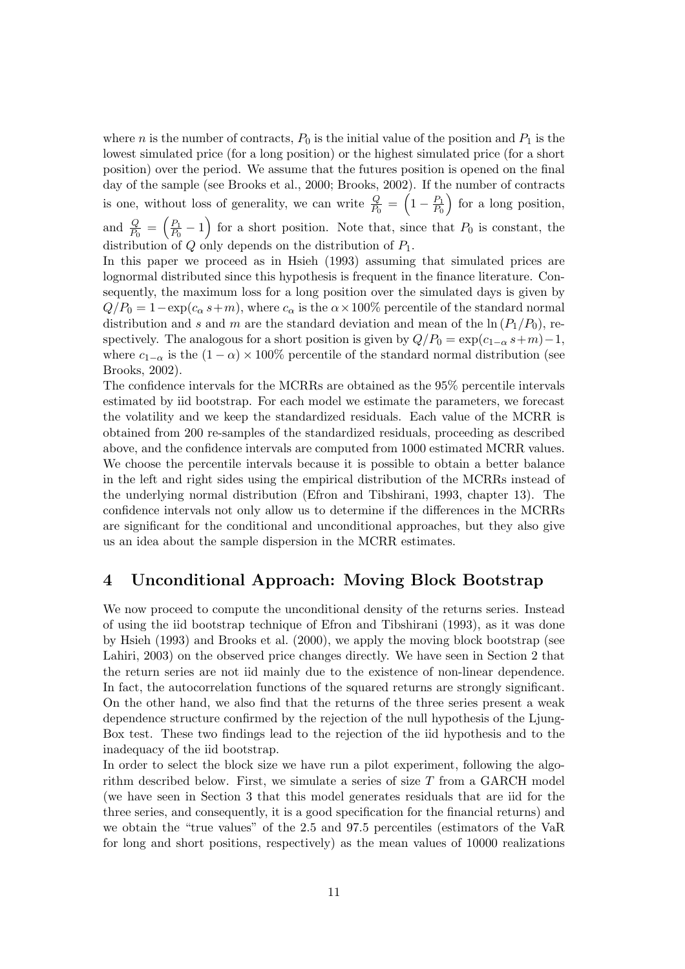where *n* is the number of contracts,  $P_0$  is the initial value of the position and  $P_1$  is the lowest simulated price (for a long position) or the highest simulated price (for a short position) over the period. We assume that the futures position is opened on the final day of the sample (see Brooks et al., 2000; Brooks, 2002). If the number of contracts is one, without loss of generality, we can write  $\frac{Q}{P_0} = \left(1 - \frac{P_1}{P_0}\right)$  $\frac{P_1}{P_0}$  for a long position, and  $\frac{Q}{P_0} = \left(\frac{P_1}{P_0}\right)$  $\frac{P_1}{P_0} - 1$  for a short position. Note that, since that  $P_0$  is constant, the distribution of  $Q$  only depends on the distribution of  $P_1$ .

In this paper we proceed as in Hsieh (1993) assuming that simulated prices are lognormal distributed since this hypothesis is frequent in the finance literature. Consequently, the maximum loss for a long position over the simulated days is given by  $Q/P_0 = 1 - \exp(c_\alpha s + m)$ , where  $c_\alpha$  is the  $\alpha \times 100\%$  percentile of the standard normal distribution and s and m are the standard deviation and mean of the  $\ln(P_1/P_0)$ , respectively. The analogous for a short position is given by  $Q/P_0 = \exp(c_{1-\alpha} s+m)-1$ , where  $c_{1-\alpha}$  is the  $(1-\alpha) \times 100\%$  percentile of the standard normal distribution (see Brooks, 2002).

The confidence intervals for the MCRRs are obtained as the 95% percentile intervals estimated by iid bootstrap. For each model we estimate the parameters, we forecast the volatility and we keep the standardized residuals. Each value of the MCRR is obtained from 200 re-samples of the standardized residuals, proceeding as described above, and the confidence intervals are computed from 1000 estimated MCRR values. We choose the percentile intervals because it is possible to obtain a better balance in the left and right sides using the empirical distribution of the MCRRs instead of the underlying normal distribution (Efron and Tibshirani, 1993, chapter 13). The confidence intervals not only allow us to determine if the differences in the MCRRs are significant for the conditional and unconditional approaches, but they also give us an idea about the sample dispersion in the MCRR estimates.

## 4 Unconditional Approach: Moving Block Bootstrap

We now proceed to compute the unconditional density of the returns series. Instead of using the iid bootstrap technique of Efron and Tibshirani (1993), as it was done by Hsieh (1993) and Brooks et al. (2000), we apply the moving block bootstrap (see Lahiri, 2003) on the observed price changes directly. We have seen in Section 2 that the return series are not iid mainly due to the existence of non-linear dependence. In fact, the autocorrelation functions of the squared returns are strongly significant. On the other hand, we also find that the returns of the three series present a weak dependence structure confirmed by the rejection of the null hypothesis of the Ljung-Box test. These two findings lead to the rejection of the iid hypothesis and to the inadequacy of the iid bootstrap.

In order to select the block size we have run a pilot experiment, following the algorithm described below. First, we simulate a series of size T from a GARCH model (we have seen in Section 3 that this model generates residuals that are iid for the three series, and consequently, it is a good specification for the financial returns) and we obtain the "true values" of the 2.5 and 97.5 percentiles (estimators of the VaR for long and short positions, respectively) as the mean values of 10000 realizations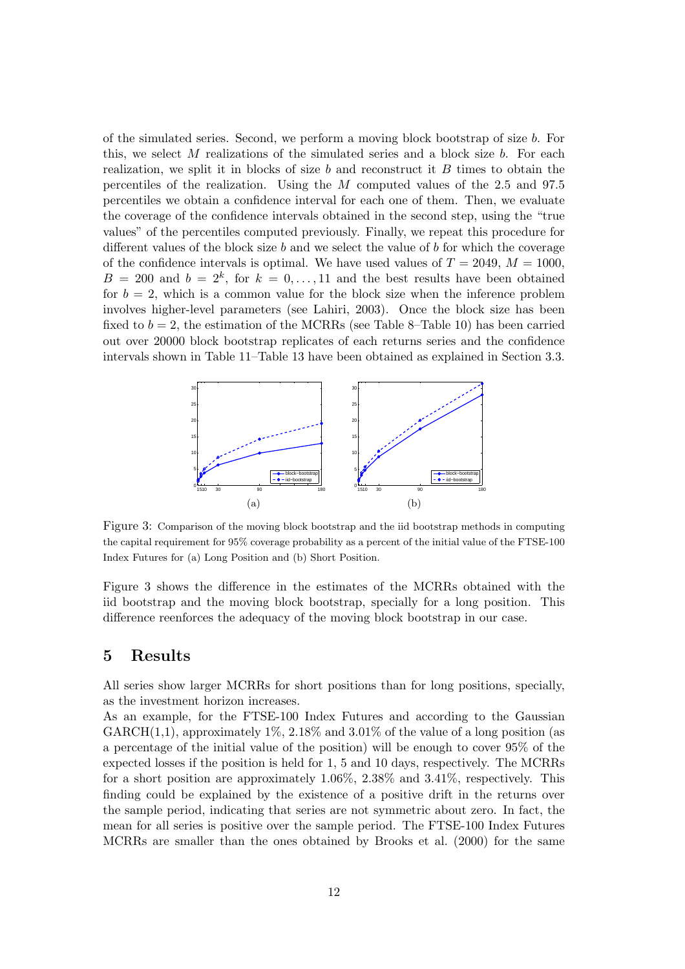of the simulated series. Second, we perform a moving block bootstrap of size b. For this, we select  $M$  realizations of the simulated series and a block size  $b$ . For each realization, we split it in blocks of size  $b$  and reconstruct it  $B$  times to obtain the percentiles of the realization. Using the M computed values of the 2.5 and 97.5 percentiles we obtain a confidence interval for each one of them. Then, we evaluate the coverage of the confidence intervals obtained in the second step, using the "true values" of the percentiles computed previously. Finally, we repeat this procedure for different values of the block size  $b$  and we select the value of  $b$  for which the coverage of the confidence intervals is optimal. We have used values of  $T = 2049$ ,  $M = 1000$ ,  $B = 200$  and  $b = 2<sup>k</sup>$ , for  $k = 0, \ldots, 11$  and the best results have been obtained for  $b = 2$ , which is a common value for the block size when the inference problem involves higher-level parameters (see Lahiri, 2003). Once the block size has been fixed to  $b = 2$ , the estimation of the MCRRs (see Table 8–Table 10) has been carried out over 20000 block bootstrap replicates of each returns series and the confidence intervals shown in Table 11–Table 13 have been obtained as explained in Section 3.3.



Figure 3: Comparison of the moving block bootstrap and the iid bootstrap methods in computing the capital requirement for 95% coverage probability as a percent of the initial value of the FTSE-100 Index Futures for (a) Long Position and (b) Short Position.

Figure 3 shows the difference in the estimates of the MCRRs obtained with the iid bootstrap and the moving block bootstrap, specially for a long position. This difference reenforces the adequacy of the moving block bootstrap in our case.

## 5 Results

All series show larger MCRRs for short positions than for long positions, specially, as the investment horizon increases.

As an example, for the FTSE-100 Index Futures and according to the Gaussian GARCH $(1,1)$ , approximately 1%, 2.18% and 3.01% of the value of a long position (as a percentage of the initial value of the position) will be enough to cover 95% of the expected losses if the position is held for 1, 5 and 10 days, respectively. The MCRRs for a short position are approximately 1.06%, 2.38% and 3.41%, respectively. This finding could be explained by the existence of a positive drift in the returns over the sample period, indicating that series are not symmetric about zero. In fact, the mean for all series is positive over the sample period. The FTSE-100 Index Futures MCRRs are smaller than the ones obtained by Brooks et al. (2000) for the same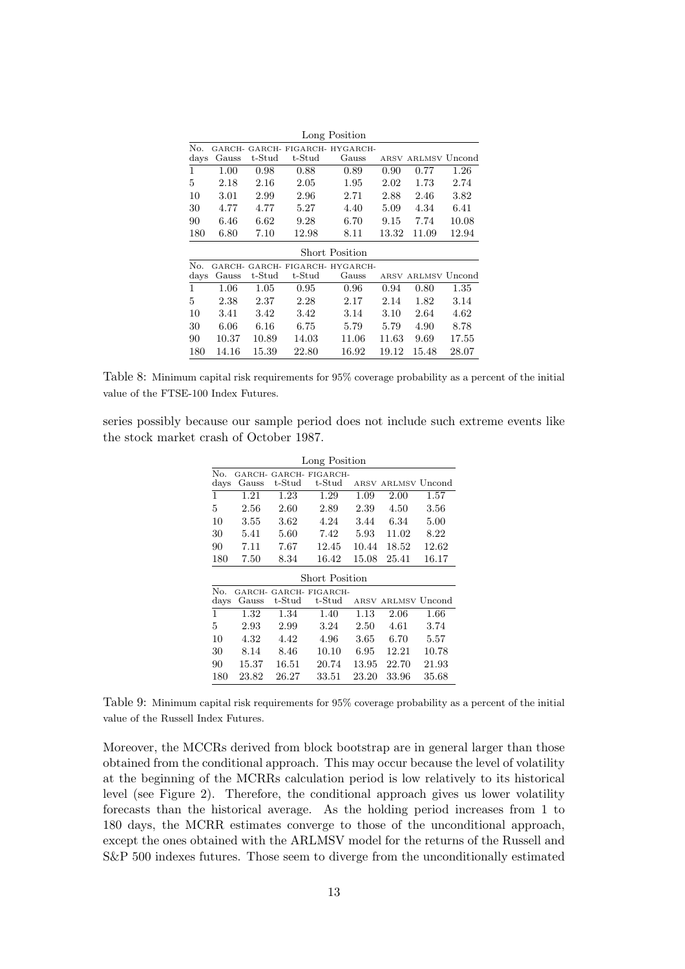|             |                 |          |        | Long Position                     |       |                    |       |
|-------------|-----------------|----------|--------|-----------------------------------|-------|--------------------|-------|
| No.<br>days | GARCH-<br>Gauss | t-Stud   | t-Stud | GARCH- FIGARCH- HYGARCH-<br>Gauss |       | ARSV ARLMSV Uncond |       |
| 1           | 1.00            | 0.98     | 0.88   | 0.89                              | 0.90  | 0.77               | 1.26  |
| 5           | 2.18            | 2.16     | 2.05   | 1.95                              | 2.02  | 1.73               | 2.74  |
| 10          | 3.01            | 2.99     | 2.96   | 2.71                              | 2.88  | 2.46               | 3.82  |
| 30          | 4.77            | 4.77     | 5.27   | 4.40                              | 5.09  | 4.34               | 6.41  |
| 90          | 6.46            | 6.62     | 9.28   | 6.70                              | 9.15  | 7.74               | 10.08 |
| 180         | 6.80            | 7.10     | 12.98  | 8.11                              | 13.32 | 11.09              | 12.94 |
|             |                 |          |        | <b>Short Position</b>             |       |                    |       |
| No.         | GARCH-          |          |        | GARCH- FIGARCH- HYGARCH-          |       |                    |       |
| days        | Gauss           | t-Stud   | t-Stud | Gauss                             |       | ARSV ARLMSV Uncond |       |
| 1           | 1.06            | 1.05     | 0.95   | 0.96                              | 0.94  | 0.80               | 1.35  |
| 5           | 2.38            | $2.37\,$ | 2.28   | 2.17                              | 2.14  | 1.82               | 3.14  |
| 10          | 3.41            | 3.42     | 3.42   | 3.14                              | 3.10  | 2.64               | 4.62  |
| 30          | 6.06            | 6.16     | 6.75   | 5.79                              | 5.79  | 4.90               | 8.78  |
| 90          | 10.37           | 10.89    | 14.03  | 11.06                             | 11.63 | 9.69               | 17.55 |
| 180         | 14.16           | 15.39    | 22.80  | 16.92                             | 19.12 | 15.48              | 28.07 |

Table 8: Minimum capital risk requirements for 95% coverage probability as a percent of the initial value of the FTSE-100 Index Futures.

series possibly because our sample period does not include such extreme events like the stock market crash of October 1987.

|               |        |           | Long Position   |       |                    |       |
|---------------|--------|-----------|-----------------|-------|--------------------|-------|
| No.           | GARCH- |           | GARCH-FIGARCH-  |       |                    |       |
| days          | Gauss  | t-Stud    | $t$ -S $t$ ud   | ARSV  | ARLMSV Uncond      |       |
| 1             | 1.21   | 1.23      | 1.29            | 1.09  | 2.00               | 1.57  |
| 5             | 2.56   | 2.60      | 2.89            | 2.39  | 4.50               | 3.56  |
| 10            | 3.55   | 3.62      | 4.24            | 3.44  | 6.34               | 5.00  |
| 30            | 5.41   | 5.60      | 7.42            | 5.93  | 11.02              | 8.22  |
| 90            | 7.11   | 7.67      | 12.45           | 10.44 | 18.52              | 12.62 |
| 180           | 7.50   | 8.34      | 16.42           | 15.08 | 25.41              | 16.17 |
|               |        |           | Short Position  |       |                    |       |
| No.           | GARCH- |           | GARCH- FIGARCH- |       |                    |       |
| $_{\rm days}$ | Gauss  | $t$ -Stud | t-Stud          |       | ARSV ARLMSV Uncond |       |
| 1             | 1.32   | 1.34      | 1.40            | 1.13  | 2.06               | 1.66  |
| 5             | 2.93   | 2.99      | 3.24            | 2.50  | 4.61               | 3.74  |
| 10            | 4.32   | 4.42      | 4.96            | 3.65  | 6.70               | 5.57  |
| 30            | 8.14   | 8.46      | 10.10           | 6.95  | 12.21              | 10.78 |
| 90            | 15.37  | 16.51     | 20.74           | 13.95 | 22.70              | 21.93 |
| 180           | 23.82  | 26.27     | 33.51           | 23.20 | 33.96              | 35.68 |

Table 9: Minimum capital risk requirements for 95% coverage probability as a percent of the initial value of the Russell Index Futures.

Moreover, the MCCRs derived from block bootstrap are in general larger than those obtained from the conditional approach. This may occur because the level of volatility at the beginning of the MCRRs calculation period is low relatively to its historical level (see Figure 2). Therefore, the conditional approach gives us lower volatility forecasts than the historical average. As the holding period increases from 1 to 180 days, the MCRR estimates converge to those of the unconditional approach, except the ones obtained with the ARLMSV model for the returns of the Russell and S&P 500 indexes futures. Those seem to diverge from the unconditionally estimated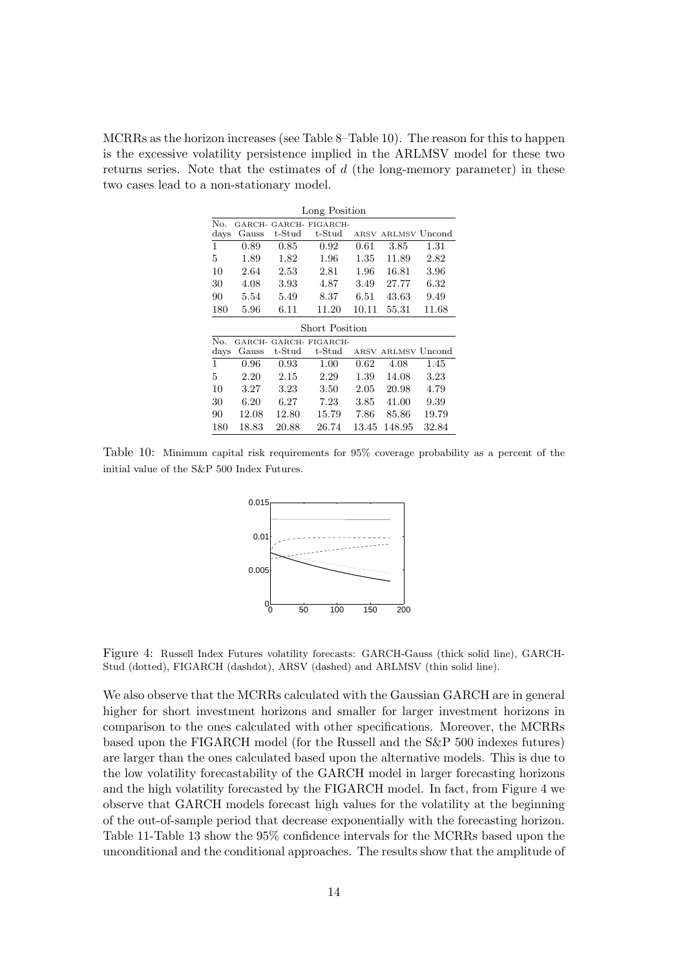MCRRs as the horizon increases (see Table 8–Table 10). The reason for this to happen is the excessive volatility persistence implied in the ARLMSV model for these two returns series. Note that the estimates of  $d$  (the long-memory parameter) in these two cases lead to a non-stationary model.

|                | Long Position |        |                |       |                    |       |  |  |
|----------------|---------------|--------|----------------|-------|--------------------|-------|--|--|
| No.            | GARCH-        |        | GARCH-FIGARCH- |       |                    |       |  |  |
| days           | Gauss         | t-Stud | t-Stud         |       | ARSV ARLMSV Uncond |       |  |  |
| 1              | 0.89          | 0.85   | 0.92           | 0.61  | 3.85               | 1.31  |  |  |
| 5              | 1.89          | 1.82   | 1.96           | 1.35  | 11.89              | 2.82  |  |  |
| 10             | 2.64          | 2.53   | 2.81           | 1.96  | 16.81              | 3.96  |  |  |
| 30             | 4.08          | 3.93   | 4.87           | 3.49  | 27.77              | 6.32  |  |  |
| 90             | 5.54          | 5.49   | 8.37           | 6.51  | 43.63              | 9.49  |  |  |
| 180            | 5.96          | 6.11   | 11.20          | 10.11 | 55.31              | 11.68 |  |  |
|                |               |        | Short Position |       |                    |       |  |  |
| No.            | GARCH-        |        | GARCH-FIGARCH- |       |                    |       |  |  |
| $_{\rm{days}}$ | Gauss         | t-Stud | t-Stud         |       | ARSV ARLMSV Uncond |       |  |  |
| 1              | 0.96          | 0.93   | 1.00           | 0.62  | 4.08               | 1.45  |  |  |
| 5              | 2.20          | 2.15   | 2.29           | 1.39  | 14.08              | 3.23  |  |  |
| 10             | 3.27          | 3.23   | 3.50           | 2.05  | 20.98              | 4.79  |  |  |
| 30             | 6.20          | 6.27   | $7.23\,$       | 3.85  | 41.00              | 9.39  |  |  |
| 90             | 12.08         | 12.80  | 15.79          | 7.86  | 85.86              | 19.79 |  |  |
| 180            | 18.83         | 20.88  | 26.74          | 13.45 | 148.95             | 32.84 |  |  |

Table 10: Minimum capital risk requirements for 95% coverage probability as a percent of the initial value of the S&P 500 Index Futures.



Figure 4: Russell Index Futures volatility forecasts: GARCH-Gauss (thick solid line), GARCH-Stud (dotted), FIGARCH (dashdot), ARSV (dashed) and ARLMSV (thin solid line).

We also observe that the MCRRs calculated with the Gaussian GARCH are in general higher for short investment horizons and smaller for larger investment horizons in comparison to the ones calculated with other specifications. Moreover, the MCRRs based upon the FIGARCH model (for the Russell and the S&P 500 indexes futures) are larger than the ones calculated based upon the alternative models. This is due to the low volatility forecastability of the GARCH model in larger forecasting horizons and the high volatility forecasted by the FIGARCH model. In fact, from Figure 4 we observe that GARCH models forecast high values for the volatility at the beginning of the out-of-sample period that decrease exponentially with the forecasting horizon. Table 11-Table 13 show the 95% confidence intervals for the MCRRs based upon the unconditional and the conditional approaches. The results show that the amplitude of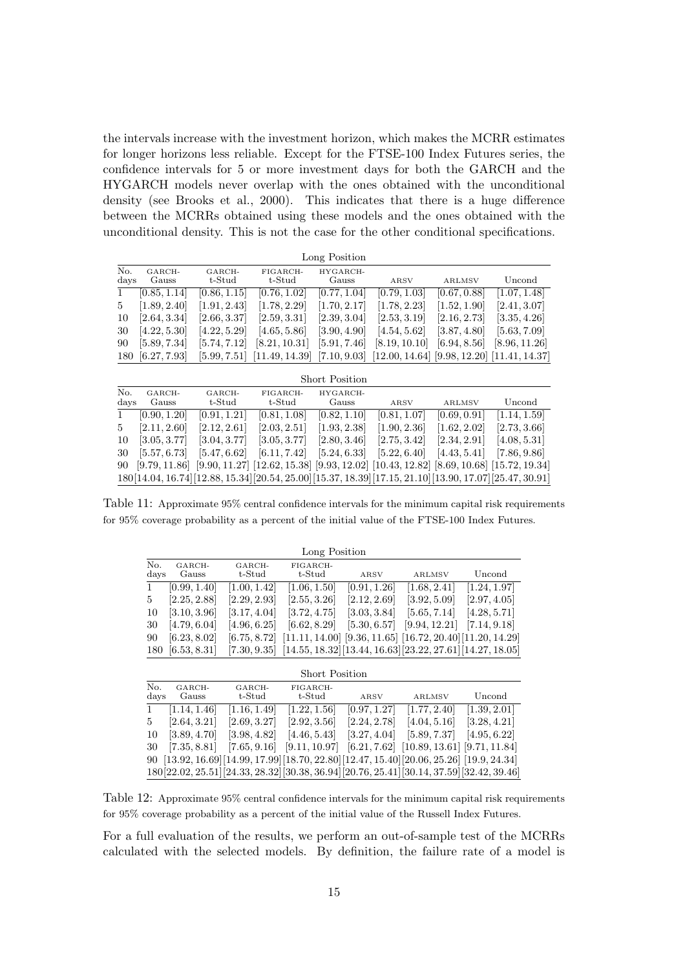the intervals increase with the investment horizon, which makes the MCRR estimates for longer horizons less reliable. Except for the FTSE-100 Index Futures series, the confidence intervals for 5 or more investment days for both the GARCH and the HYGARCH models never overlap with the ones obtained with the unconditional density (see Brooks et al., 2000). This indicates that there is a huge difference between the MCRRs obtained using these models and the ones obtained with the unconditional density. This is not the case for the other conditional specifications.

|      |               |              |                                                                                                         | Long Position            |                |                          |                |
|------|---------------|--------------|---------------------------------------------------------------------------------------------------------|--------------------------|----------------|--------------------------|----------------|
| No.  | GARCH-        | GARCH-       | FIGARCH-                                                                                                | HYGARCH-                 |                |                          |                |
| days | Gauss         | $t$ -Stud    | t-Stud                                                                                                  | Gauss                    | ARSV           | <b>ARLMSV</b>            | Uncond         |
| 1    | [0.85, 1.14]  | [0.86, 1.15] | [0.76, 1.02]                                                                                            | [0.77, 1.04]             | [0.79, 1.03]   | [0.67, 0.88]             | [1.07, 1.48]   |
| 5    | [1.89, 2.40]  | [1.91, 2.43] | [1.78, 2.29]                                                                                            | [1.70, 2.17]             | [1.78, 2.23]   | [1.52, 1.90]             | [2.41, 3.07]   |
| 10   | [2.64, 3.34]  | [2.66, 3.37] | [2.59, 3.31]                                                                                            | [2.39, 3.04]             | [2.53, 3.19]   | [2.16, 2.73]             | [3.35, 4.26]   |
| 30   | [4.22, 5.30]  | [4.22, 5.29] | [4.65, 5.86]                                                                                            | [3.90, 4.90]             | [4.54, 5.62]   | [3.87, 4.80]             | [5.63, 7.09]   |
| 90   | [5.89, 7.34]  | [5.74, 7.12] | [8.21, 10.31]                                                                                           | [5.91, 7.46]             | [8.19, 10.10]  | [6.94, 8.56]             | [8.96, 11.26]  |
| 180  | [6.27, 7.93]  | [5.99, 7.51] | [11.49, 14.39]                                                                                          | $\left[7.10,9.03\right]$ | [12.00, 14.64] | [9.98, 12.20]            | [11.41, 14.37] |
|      |               |              |                                                                                                         |                          |                |                          |                |
|      |               |              |                                                                                                         | <b>Short Position</b>    |                |                          |                |
| No.  | GARCH-        | GARCH-       | FIGARCH-                                                                                                | HYGARCH-                 |                |                          |                |
| days | Gauss         | t-Stud       | $t$ -Stud                                                                                               | Gauss                    | ARSV           | <b>ARLMSV</b>            | Uncond         |
| 1    | [0.90, 1.20]  | [0.91, 1.21] | [0.81, 1.08]                                                                                            | [0.82, 1.10]             | [0.81, 1.07]   | [0.69, 0.91]             | [1.14, 1.59]   |
| 5    | [2.11, 2.60]  | [2.12, 2.61] | [2.03, 2.51]                                                                                            | [1.93, 2.38]             | [1.90, 2.36]   | [1.62, 2.02]             | [2.73, 3.66]   |
| 10   | [3.05, 3.77]  | [3.04, 3.77] | [3.05, 3.77]                                                                                            | [2.80, 3.46]             | [2.75, 3.42]   | [2.34, 2.91]             | [4.08, 5.31]   |
| 30   | [5.57, 6.73]  | [5.47, 6.62] | [6.11, 7.42]                                                                                            | [5.24, 6.33]             | [5.22, 6.40]   | $\left[4.43,5.41\right]$ | [7.86, 9.86]   |
| 90   | [9.79, 11.86] |              | $[9.90, 11.27]$ $[12.62, 15.38]$ $[9.93, 12.02]$ $[10.43, 12.82]$ $[8.69, 10.68]$ $[15.72, 19.34]$      |                          |                |                          |                |
|      |               |              | $180[14.04, 16.74][12.88, 15.34][20.54, 25.00][15.37, 18.39][17.15, 21.10][13.90, 17.07][25.47, 30.91]$ |                          |                |                          |                |

Table 11: Approximate 95% central confidence intervals for the minimum capital risk requirements for 95% coverage probability as a percent of the initial value of the FTSE-100 Index Futures.

|             | Long Position   |                         |                                                                                    |              |               |              |  |  |
|-------------|-----------------|-------------------------|------------------------------------------------------------------------------------|--------------|---------------|--------------|--|--|
| No.<br>days | GARCH-<br>Gauss | GARCH-<br>$t$ -S $t$ ud | FIGARCH-<br>$t$ -S $t$ ud                                                          | ARSV         | <b>ARLMSV</b> | Uncond       |  |  |
|             | [0.99, 1.40]    | [1.00, 1.42]            | [1.06, 1.50]                                                                       | [0.91, 1.26] | [1.68, 2.41]  | [1.24, 1.97] |  |  |
| 5           | [2.25, 2.88]    | [2.29, 2.93]            | [2.55, 3.26]                                                                       | [2.12, 2.69] | [3.92, 5.09]  | [2.97, 4.05] |  |  |
| 10          | [3.10, 3.96]    | [3.17, 4.04]            | [3.72, 4.75]                                                                       | [3.03, 3.84] | [5.65, 7.14]  | [4.28, 5.71] |  |  |
| 30          | [4.79, 6.04]    | [4.96, 6.25]            | [6.62, 8.29]                                                                       | [5.30, 6.57] | [9.94, 12.21] | [7.14, 9.18] |  |  |
| 90          | [6.23, 8.02]    | [6.75, 8.72]            | $[11.11, 14.00]$ $[9.36, 11.65]$ $[16.72, 20.40]$ $[11.20, 14.29]$                 |              |               |              |  |  |
| 180         | [6.53, 8.31]    |                         | $[7.30, 9.35]$ $[14.55, 18.32]$ $[13.44, 16.63]$ $[23.22, 27.61]$ $[14.27, 18.05]$ |              |               |              |  |  |

|             | <b>Short Position</b> |                  |                           |              |                                                                                              |              |  |  |
|-------------|-----------------------|------------------|---------------------------|--------------|----------------------------------------------------------------------------------------------|--------------|--|--|
| No.<br>days | GARCH-<br>Gauss       | GARCH-<br>t-Stud | FIGARCH-<br>$t$ -S $t$ ud | ARSV         | <b>ARLMSV</b>                                                                                | Uncond       |  |  |
|             | [1.14, 1.46]          | [1.16, 1.49]     | [1.22, 1.56]              | [0.97, 1.27] | [1.77, 2.40]                                                                                 | [1.39, 2.01] |  |  |
| 5           | [2.64, 3.21]          | [2.69, 3.27]     | [2.92, 3.56]              | [2.24, 2.78] | [4.04, 5.16]                                                                                 | [3.28, 4.21] |  |  |
| 10          | [3.89, 4.70]          | [3.98, 4.82]     | [4.46, 5.43]              | [3.27, 4.04] | [5.89, 7.37]                                                                                 | [4.95, 6.22] |  |  |
| 30          | [7.35, 8.81]          | [7.65, 9.16]     | [9.11, 10.97]             |              | $[6.21, 7.62]$ $[10.89, 13.61]$ $[9.71, 11.84]$                                              |              |  |  |
|             |                       |                  |                           |              | 90 [13.92, 16.69] [14.99, 17.99] [18.70, 22.80] [12.47, 15.40] [20.06, 25.26] [19.9, 24.34]  |              |  |  |
|             |                       |                  |                           |              | 180[22.02, 25.51] [24.33, 28.32] [30.38, 36.94] [20.76, 25.41] [30.14, 37.59] [32.42, 39.46] |              |  |  |

Table 12: Approximate 95% central confidence intervals for the minimum capital risk requirements for 95% coverage probability as a percent of the initial value of the Russell Index Futures.

For a full evaluation of the results, we perform an out-of-sample test of the MCRRs calculated with the selected models. By definition, the failure rate of a model is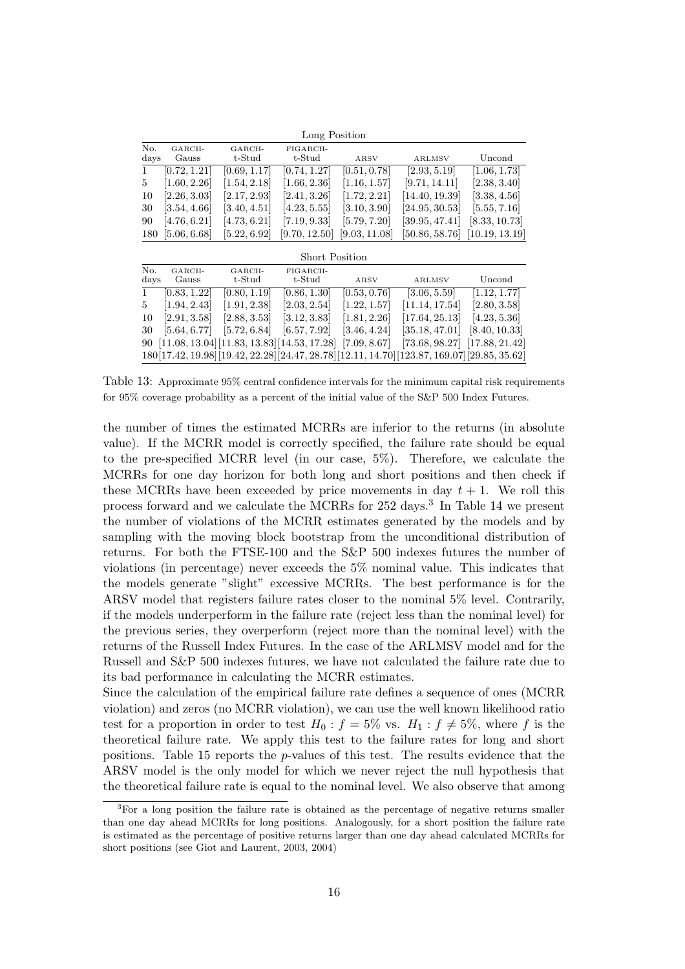|              | Long Position   |                           |                           |               |                |                |  |  |  |
|--------------|-----------------|---------------------------|---------------------------|---------------|----------------|----------------|--|--|--|
| No.<br>days  | GARCH-<br>Gauss | GARCH-<br>$t\text{-Stud}$ | FIGARCH-<br>$t$ -S $t$ ud | ARSV          | <b>ARLMSV</b>  | Uncond         |  |  |  |
| $\mathbf{1}$ | [0.72, 1.21]    | [0.69, 1.17]              | [0.74, 1.27]              | [0.51, 0.78]  | [2.93, 5.19]   | [1.06, 1.73]   |  |  |  |
| 5            | [1.60, 2.26]    | [1.54, 2.18]              | [1.66, 2.36]              | [1.16, 1.57]  | [9.71, 14.11]  | [2.38, 3.40]   |  |  |  |
| 10           | [2.26, 3.03]    | [2.17, 2.93]              | [2.41, 3.26]              | [1.72, 2.21]  | [14.40, 19.39] | [3.38, 4.56]   |  |  |  |
| 30           | [3.54, 4.66]    | [3.40, 4.51]              | [4.23, 5.55]              | [3.10, 3.90]  | [24.95, 30.53] | [5.55, 7.16]   |  |  |  |
| 90           | [4.76, 6.21]    | [4.73, 6.21]              | [7.19, 9.33]              | [5.79, 7.20]  | [39.95, 47.41] | [8.33, 10.73]  |  |  |  |
| 180          | [5.06, 6.68]    | [5.22, 6.92]              | [9.70, 12.50]             | [9.03, 11.08] | [50.86, 58.76] | [10.19, 13.19] |  |  |  |

Short Position

| No.<br>days  | GARCH-<br>Gauss | GARCH-<br>$\operatorname{t-Stud}$               | FIGARCH-<br>$\operatorname{t-Stud}$ | ARSV         | <b>ARLMSV</b>                                                                             | Uncond       |
|--------------|-----------------|-------------------------------------------------|-------------------------------------|--------------|-------------------------------------------------------------------------------------------|--------------|
| $\mathbf{1}$ | [0.83, 1.22]    | [0.80, 1.19]                                    | [0.86, 1.30]                        | [0.53, 0.76] | [3.06, 5.59]                                                                              | [1.12, 1.77] |
| $5^{\circ}$  | [1.94, 2.43]    | [1.91, 2.38]                                    | [2.03, 2.54]                        | [1.22, 1.57] | [11.14, 17.54]                                                                            | [2.80, 3.58] |
| 10           | [2.91, 3.58]    | [2.88, 3.53]                                    | [3.12, 3.83]                        | [1.81, 2.26] | [17.64, 25.13]                                                                            | [4.23, 5.36] |
|              | 30 [5.64, 6.77] | [5.72, 6.84]                                    | [6.57, 7.92]                        | [3.46, 4.24] | $[35.18, 47.01]$ $[8.40, 10.33]$                                                          |              |
|              |                 | 90 [11.08, 13.04] [11.83, 13.83] [14.53, 17.28] |                                     | [7.09, 8.67] | $[73.68, 98.27]$ $[17.88, 21.42]$                                                         |              |
|              |                 |                                                 |                                     |              | 180[17.42, 19.98][19.42, 22.28][24.47, 28.78][12.11, 14.70][123.87, 169.07][29.85, 35.62] |              |

Table 13: Approximate 95% central confidence intervals for the minimum capital risk requirements for 95% coverage probability as a percent of the initial value of the S&P 500 Index Futures.

the number of times the estimated MCRRs are inferior to the returns (in absolute value). If the MCRR model is correctly specified, the failure rate should be equal to the pre-specified MCRR level (in our case, 5%). Therefore, we calculate the MCRRs for one day horizon for both long and short positions and then check if these MCRRs have been exceeded by price movements in day  $t + 1$ . We roll this process forward and we calculate the MCRRs for 252 days.<sup>3</sup> In Table 14 we present the number of violations of the MCRR estimates generated by the models and by sampling with the moving block bootstrap from the unconditional distribution of returns. For both the FTSE-100 and the S&P 500 indexes futures the number of violations (in percentage) never exceeds the 5% nominal value. This indicates that the models generate "slight" excessive MCRRs. The best performance is for the ARSV model that registers failure rates closer to the nominal 5% level. Contrarily, if the models underperform in the failure rate (reject less than the nominal level) for the previous series, they overperform (reject more than the nominal level) with the returns of the Russell Index Futures. In the case of the ARLMSV model and for the Russell and S&P 500 indexes futures, we have not calculated the failure rate due to its bad performance in calculating the MCRR estimates.

Since the calculation of the empirical failure rate defines a sequence of ones (MCRR violation) and zeros (no MCRR violation), we can use the well known likelihood ratio test for a proportion in order to test  $H_0: f = 5\%$  vs.  $H_1: f \neq 5\%$ , where f is the theoretical failure rate. We apply this test to the failure rates for long and short positions. Table 15 reports the  $p$ -values of this test. The results evidence that the ARSV model is the only model for which we never reject the null hypothesis that the theoretical failure rate is equal to the nominal level. We also observe that among

<sup>&</sup>lt;sup>3</sup>For a long position the failure rate is obtained as the percentage of negative returns smaller than one day ahead MCRRs for long positions. Analogously, for a short position the failure rate is estimated as the percentage of positive returns larger than one day ahead calculated MCRRs for short positions (see Giot and Laurent, 2003, 2004)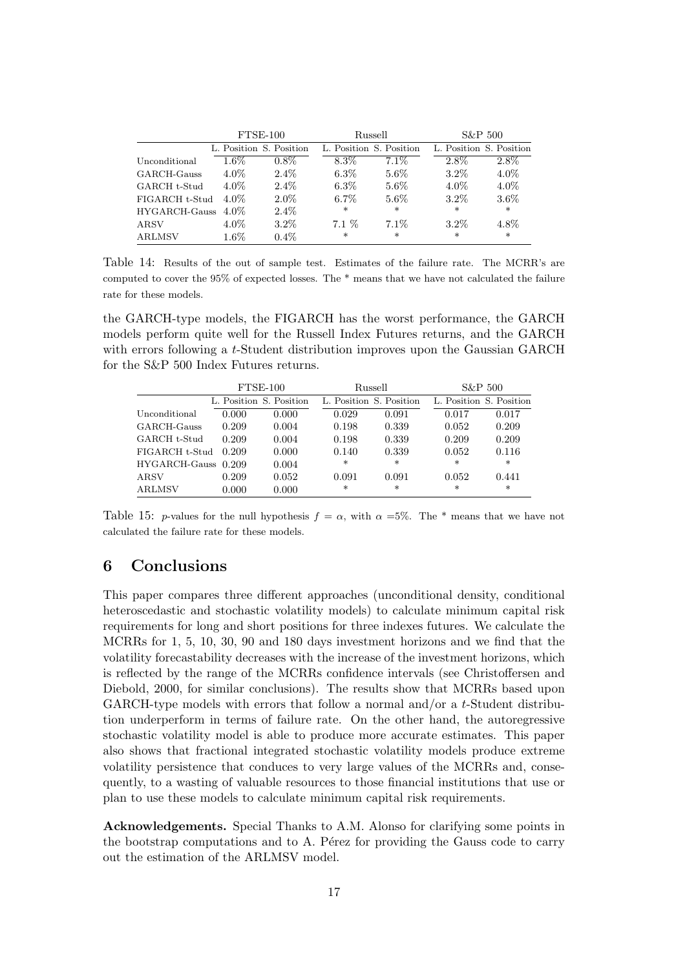|                | $FTSE-100$ |                         | Russell                 |         | S&P 500                 |         |
|----------------|------------|-------------------------|-------------------------|---------|-------------------------|---------|
|                |            | L. Position S. Position | L. Position S. Position |         | L. Position S. Position |         |
| Unconditional  | $1.6\%$    | $0.8\%$                 | 8.3%                    | $7.1\%$ | $2.8\%$                 | $2.8\%$ |
| GARCH-Gauss    | $4.0\%$    | $2.4\%$                 | $6.3\%$                 | $5.6\%$ | $3.2\%$                 | $4.0\%$ |
| GARCH t-Stud   | $4.0\%$    | $2.4\%$                 | $6.3\%$                 | $5.6\%$ | $4.0\%$                 | $4.0\%$ |
| FIGARCH t-Stud | $4.0\%$    | $2.0\%$                 | $6.7\%$                 | $5.6\%$ | $3.2\%$                 | $3.6\%$ |
| HYGARCH-Gauss  | $4.0\%$    | $2.4\%$                 | $\ast$                  | $\ast$  | $\ast$                  | $\ast$  |
| ARSV           | $4.0\%$    | $3.2\%$                 | $7.1\%$                 | $7.1\%$ | $3.2\%$                 | 4.8%    |
| <b>ARLMSV</b>  | $1.6\%$    | $0.4\%$                 | $\ast$                  | $\ast$  | $\ast$                  | $\ast$  |

Table 14: Results of the out of sample test. Estimates of the failure rate. The MCRR's are computed to cover the 95% of expected losses. The \* means that we have not calculated the failure rate for these models.

the GARCH-type models, the FIGARCH has the worst performance, the GARCH models perform quite well for the Russell Index Futures returns, and the GARCH with errors following a t-Student distribution improves upon the Gaussian GARCH for the S&P 500 Index Futures returns.

|                       | $FTSE-100$ |                         | Russell                 |         | S&P 500                 |        |
|-----------------------|------------|-------------------------|-------------------------|---------|-------------------------|--------|
|                       |            | L. Position S. Position | L. Position S. Position |         | L. Position S. Position |        |
| Unconditional         | 0.000      | 0.000                   | 0.029                   | 0.091   | 0.017                   | 0.017  |
| GARCH-Gauss           | 0.209      | 0.004                   | 0.198                   | 0.339   | 0.052                   | 0.209  |
| GARCH t-Stud          | 0.209      | 0.004                   | 0.198                   | 0.339   | 0.209                   | 0.209  |
| FIGARCH t-Stud        | 0.209      | 0.000                   | 0.140                   | 0.339   | 0.052                   | 0.116  |
| HYGARCH-Gauss 0.209   |            | 0.004                   | $\ast$                  | $\ast$  | *                       | $\ast$ |
| $\operatorname{ARSV}$ | 0.209      | 0.052                   | 0.091                   | 0.091   | 0.052                   | 0.441  |
| ARLMSV                | 0.000      | 0.000                   | $\ast$                  | $^\ast$ | $^\ast$                 | $\ast$ |

Table 15: p-values for the null hypothesis  $f = \alpha$ , with  $\alpha = 5\%$ . The \* means that we have not calculated the failure rate for these models.

# 6 Conclusions

This paper compares three different approaches (unconditional density, conditional heteroscedastic and stochastic volatility models) to calculate minimum capital risk requirements for long and short positions for three indexes futures. We calculate the MCRRs for 1, 5, 10, 30, 90 and 180 days investment horizons and we find that the volatility forecastability decreases with the increase of the investment horizons, which is reflected by the range of the MCRRs confidence intervals (see Christoffersen and Diebold, 2000, for similar conclusions). The results show that MCRRs based upon GARCH-type models with errors that follow a normal and/or a  $t$ -Student distribution underperform in terms of failure rate. On the other hand, the autoregressive stochastic volatility model is able to produce more accurate estimates. This paper also shows that fractional integrated stochastic volatility models produce extreme volatility persistence that conduces to very large values of the MCRRs and, consequently, to a wasting of valuable resources to those financial institutions that use or plan to use these models to calculate minimum capital risk requirements.

Acknowledgements. Special Thanks to A.M. Alonso for clarifying some points in the bootstrap computations and to A. Perez for providing the Gauss code to carry out the estimation of the ARLMSV model.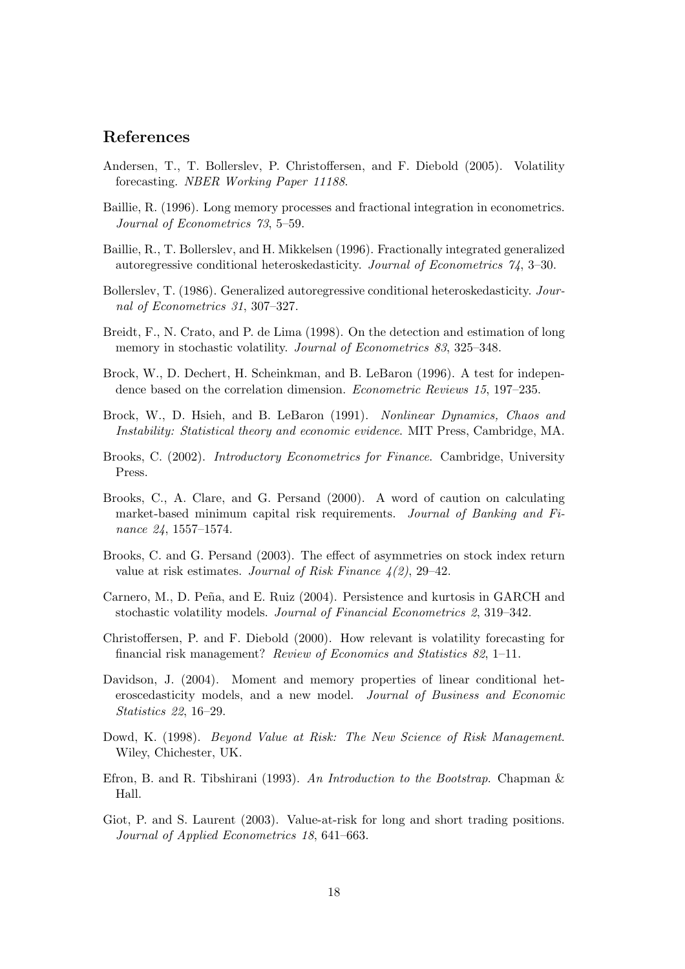## References

- Andersen, T., T. Bollerslev, P. Christoffersen, and F. Diebold (2005). Volatility forecasting. NBER Working Paper 11188.
- Baillie, R. (1996). Long memory processes and fractional integration in econometrics. Journal of Econometrics 73, 5–59.
- Baillie, R., T. Bollerslev, and H. Mikkelsen (1996). Fractionally integrated generalized autoregressive conditional heteroskedasticity. Journal of Econometrics 74, 3–30.
- Bollerslev, T. (1986). Generalized autoregressive conditional heteroskedasticity. Journal of Econometrics 31, 307–327.
- Breidt, F., N. Crato, and P. de Lima (1998). On the detection and estimation of long memory in stochastic volatility. Journal of Econometrics 83, 325–348.
- Brock, W., D. Dechert, H. Scheinkman, and B. LeBaron (1996). A test for independence based on the correlation dimension. Econometric Reviews 15, 197–235.
- Brock, W., D. Hsieh, and B. LeBaron (1991). Nonlinear Dynamics, Chaos and Instability: Statistical theory and economic evidence. MIT Press, Cambridge, MA.
- Brooks, C. (2002). Introductory Econometrics for Finance. Cambridge, University Press.
- Brooks, C., A. Clare, and G. Persand (2000). A word of caution on calculating market-based minimum capital risk requirements. Journal of Banking and Finance 24, 1557–1574.
- Brooks, C. and G. Persand (2003). The effect of asymmetries on stock index return value at risk estimates. Journal of Risk Finance  $\frac{1}{2}$ , 29–42.
- Carnero, M., D. Peña, and E. Ruiz (2004). Persistence and kurtosis in GARCH and stochastic volatility models. Journal of Financial Econometrics 2, 319–342.
- Christoffersen, P. and F. Diebold (2000). How relevant is volatility forecasting for financial risk management? Review of Economics and Statistics 82, 1–11.
- Davidson, J. (2004). Moment and memory properties of linear conditional heteroscedasticity models, and a new model. Journal of Business and Economic Statistics 22, 16–29.
- Dowd, K. (1998). Beyond Value at Risk: The New Science of Risk Management. Wiley, Chichester, UK.
- Efron, B. and R. Tibshirani (1993). An Introduction to the Bootstrap. Chapman & Hall.
- Giot, P. and S. Laurent (2003). Value-at-risk for long and short trading positions. Journal of Applied Econometrics 18, 641–663.